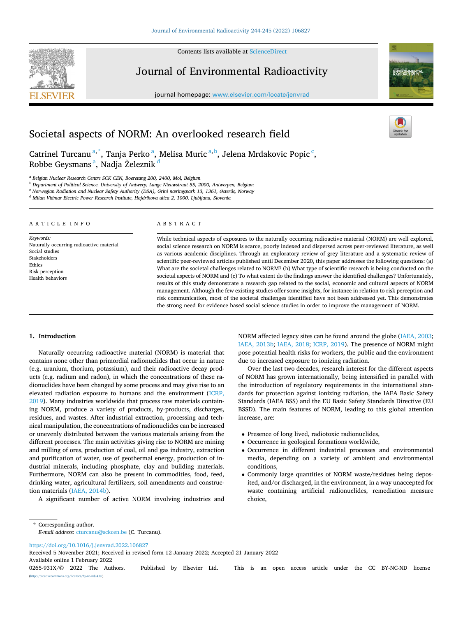Contents lists available at [ScienceDirect](www.sciencedirect.com/science/journal/0265931X)



Journal of Environmental Radioactivity

journal homepage: [www.elsevier.com/locate/jenvrad](https://www.elsevier.com/locate/jenvrad)



# Societal aspects of NORM: An overlooked research field

Catrinel Turcanu<sup>a,\*</sup>, Tanja Perko<sup>a</sup>, Melisa Muric<sup>a,b</sup>, Jelena Mrdakovic Popic<sup>c</sup>, Robbe Geysmans <sup>a</sup>, Nadja Železnik <sup>d</sup>

<sup>a</sup> *Belgian Nuclear Research Centre SCK CEN, Boeretang 200, 2400, Mol, Belgium* 

<sup>b</sup> *Department of Political Science, University of Antwerp, Lange Nieuwstraat 55, 2000, Antwerpen, Belgium* 

<sup>c</sup> *Norwegian Radiation and Nuclear Safety Authority (DSA), Grini næringspark 13, 1361, Østerås, Norway* 

<sup>d</sup> *Milan Vidmar Electric Power Research Institute, Hajdrihova ulica 2, 1000, Ljubljana, Slovenia* 

#### ARTICLE INFO

*Keywords:*  Naturally occurring radioactive material Social studies Stakeholders Ethics Risk perception Health behaviors

#### ABSTRACT

While technical aspects of exposures to the naturally occurring radioactive material (NORM) are well explored, social science research on NORM is scarce, poorly indexed and dispersed across peer-reviewed literature, as well as various academic disciplines. Through an exploratory review of grey literature and a systematic review of scientific peer-reviewed articles published until December 2020, this paper addresses the following questions: (a) What are the societal challenges related to NORM? (b) What type of scientific research is being conducted on the societal aspects of NORM and (c) To what extent do the findings answer the identified challenges? Unfortunately, results of this study demonstrate a research gap related to the social, economic and cultural aspects of NORM management. Although the few existing studies offer some insights, for instance in relation to risk perception and risk communication, most of the societal challenges identified have not been addressed yet. This demonstrates the strong need for evidence based social science studies in order to improve the management of NORM.

# **1. Introduction**

Naturally occurring radioactive material (NORM) is material that contains none other than primordial radionuclides that occur in nature (e.g. uranium, thorium, potassium), and their radioactive decay products (e.g. radium and radon), in which the concentrations of these radionuclides have been changed by some process and may give rise to an elevated radiation exposure to humans and the environment ([ICRP,](#page-14-0)  [2019\)](#page-14-0). Many industries worldwide that process raw materials containing NORM, produce a variety of products, by-products, discharges, residues, and wastes. After industrial extraction, processing and technical manipulation, the concentrations of radionuclides can be increased or unevenly distributed between the various materials arising from the different processes. The main activities giving rise to NORM are mining and milling of ores, production of coal, oil and gas industry, extraction and purification of water, use of geothermal energy, production of industrial minerals, including phosphate, clay and building materials. Furthermore, NORM can also be present in commodities, food, feed, drinking water, agricultural fertilizers, soil amendments and construction materials ([IAEA, 2014b\)](#page-14-0).

A significant number of active NORM involving industries and

NORM affected legacy sites can be found around the globe [\(IAEA, 2003](#page-14-0); [IAEA, 2013b;](#page-14-0) [IAEA, 2018;](#page-14-0) [ICRP, 2019](#page-14-0)). The presence of NORM might pose potential health risks for workers, the public and the environment due to increased exposure to ionizing radiation.

Over the last two decades, research interest for the different aspects of NORM has grown internationally, being intensified in parallel with the introduction of regulatory requirements in the international standards for protection against ionizing radiation, the IAEA Basic Safety Standards (IAEA BSS) and the EU Basic Safety Standards Directive (EU BSSD). The main features of NORM, leading to this global attention increase, are:

- Presence of long lived, radiotoxic radionuclides,
- Occurrence in geological formations worldwide,
- Occurrence in different industrial processes and environmental media, depending on a variety of ambient and environmental conditions,
- Commonly large quantities of NORM waste/residues being deposited, and/or discharged, in the environment, in a way unaccepted for waste containing artificial radionuclides, remediation measure choice,

\* Corresponding author. *E-mail address:* [cturcanu@sckcen.be](mailto:cturcanu@sckcen.be) (C. Turcanu).

<https://doi.org/10.1016/j.jenvrad.2022.106827>

Available online 1 February 2022 0265-931X/© 2022 The Authors. Published by Elsevier Ltd. This is an open access article under the CC BY-NC-ND license Received 5 November 2021; Received in revised form 12 January 2022; Accepted 21 January 2022

[\(http://creativecommons.org/licenses/by-nc-nd/4.0/\)](http://creativecommons.org/licenses/by-nc-nd/4.0/).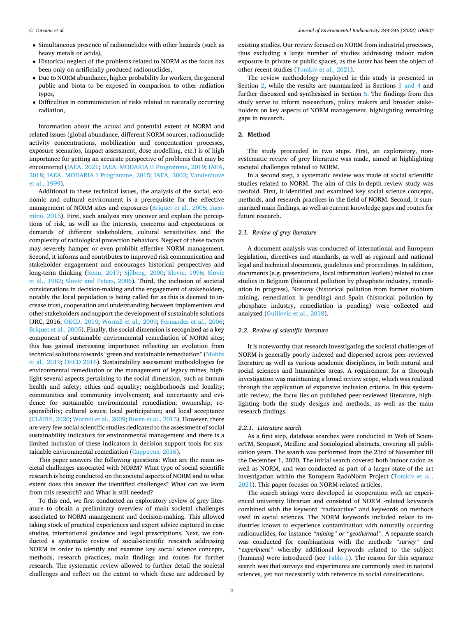- Simultaneous presence of radionuclides with other hazards (such as heavy metals or acids),
- Historical neglect of the problems related to NORM as the focus has been only on artificially produced radionuclides,
- Due to NORM abundance, higher probability for workers, the general public and biota to be exposed in comparison to other radiation types,
- Difficulties in communication of risks related to naturally occurring radiation,

Information about the actual and potential extent of NORM and related issues (global abundance, different NORM sources, radionuclide activity concentrations, mobilization and concentration processes, exposure scenarios, impact assessment, dose modelling, etc.) is of high importance for getting an accurate perspective of problems that may be encountered ([IAEA, 2021; IAEA. MODARIA II Programme, 2019; IAEA,](#page-14-0)  [2018;](#page-14-0) [IAEA. MODARIA I Programme, 2015](#page-14-0); [IAEA, 2003;](#page-14-0) [Vandenhove](#page-15-0)  [et al., 1999\)](#page-15-0).

Additional to these technical issues, the analysis of the social, economic and cultural environment is a prerequisite for the effective management of NORM sites and exposures ([Briquet et al., 2005](#page-13-0); [Jaco](#page-14-0)[mino, 2015](#page-14-0)). First, such analysis may uncover and explain the perceptions of risk, as well as the interests, concerns and expectations or demands of different stakeholders, cultural sensitivities and the complexity of radiological protection behaviors. Neglect of these factors may severely hamper or even prohibit effective NORM management. Second, it informs and contributes to improved risk communication and stakeholder engagement and encourages historical perspectives and long-term thinking [\(Renn, 2017](#page-14-0); Sjöberg, 2000; [Slovic, 1996;](#page-14-0) Slovic [et al., 1982](#page-14-0); [Slovic and Peters, 2006\)](#page-14-0). Third, the inclusion of societal considerations in decision-making and the engagement of stakeholders, notably the local population is being called for as this is deemed to increase trust, cooperation and understanding between implementers and other stakeholders and support the development of sustainable solutions (JRC, 2016; [OECD, 2019](#page-14-0); [Worrall et al., 2009;](#page-15-0) [Fernandes et al., 2006](#page-13-0); [Briquet et al., 2005\)](#page-13-0). Finally, the social dimension is recognized as a key component of sustainable environmental remediation of NORM sites; this has gained increasing importance reflecting an evolution from technical solutions towards "green and sustainable remediation" [\(Mobbs](#page-14-0)  [et al., 2019](#page-14-0); [OECD 2016\)](#page-14-0). Sustainability assessment methodologies for environmental remediation or the management of legacy mines, highlight several aspects pertaining to the social dimension, such as human health and safety; ethics and equality; neighborhoods and locality; communities and community involvement; and uncertainty and evidence for sustainable environmental remediation; ownership; responsibility; cultural issues; local participation; and local acceptance ([CLAIRE, 2020;](#page-13-0) [Worrall et al., 2009;](#page-15-0) Rosén et al., 2015). However, there are very few social scientific studies dedicated to the assessment of social sustainability indicators for environmental management and there is a limited inclusion of these indicators in decision support tools for sustainable environmental remediation [\(Cappuyns, 2016](#page-13-0)).

This paper answers the following questions: What are the main societal challenges associated with NORM? What type of social scientific research is being conducted on the societal aspects of NORM and to what extent does this answer the identified challenges? What can we learn from this research? and What is still needed?

To this end, we first conducted an exploratory review of grey literature to obtain a preliminary overview of main societal challenges associated to NORM management and decision-making. This allowed taking stock of practical experiences and expert advice captured in case studies, international guidance and legal prescriptions, Next, we conducted a systematic review of social-scientific research addressing NORM in order to identify and examine key social science concepts, methods, research practices, main findings and routes for further research. The systematic review allowed to further detail the societal challenges and reflect on the extent to which these are addressed by

existing studies. Our review focused on NORM from industrial processes, thus excluding a large number of studies addressing indoor radon exposure in private or public spaces, as the latter has been the object of other recent studies ([Tomkiv et al., 2021](#page-14-0)).

The review methodology employed in this study is presented in Section 2, while the results are summarized in Sections [3 and 4](#page-2-0) and further discussed and synthesized in Section [5.](#page-7-0) The findings from this study serve to inform researchers, policy makers and broader stakeholders on key aspects of NORM management, highlighting remaining gaps in research.

# **2. Method**

The study proceeded in two steps. First, an exploratory, nonsystematic review of grey literature was made, aimed at highlighting societal challenges related to NORM.

In a second step, a systematic review was made of social scientific studies related to NORM. The aim of this in-depth review study was twofold. First, it identified and examined key social science concepts, methods, and research practices in the field of NORM. Second, it summarized main findings, as well as current knowledge gaps and routes for future research.

# *2.1. Review of grey literature*

A document analysis was conducted of international and European legislation, directives and standards, as well as regional and national legal and technical documents, guidelines and proceedings. In addition, documents (e.g. presentations, local information leaflets) related to case studies in Belgium (historical pollution by phosphate industry, remediation in progress), Norway (historical pollution from former niobium mining, remediation is pending) and Spain (historical pollution by phosphate industry, remediation is pending) were collected and analyzed [\(Guillevic et al., 2018](#page-13-0)).

#### *2.2. Review of scientific literature*

It is noteworthy that research investigating the societal challenges of NORM is generally poorly indexed and dispersed across peer-reviewed literature as well as various academic disciplines, in both natural and social sciences and humanities areas. A requirement for a thorough investigation was maintaining a broad review scope, which was realized through the application of expansive inclusion criteria. In this systematic review, the focus lies on published peer-reviewed literature, highlighting both the study designs and methods, as well as the main research findings.

#### *2.2.1. Literature search*

As a first step, database searches were conducted in Web of ScienceTM, Scopus®, Medline and Sociological abstracts, covering all publication years. The search was performed from the 23rd of November till the December 1, 2020. The initial search covered both indoor radon as well as NORM, and was conducted as part of a larger state-of-the art investigation within the European RadoNorm Project [\(Tomkiv et al.,](#page-14-0)  [2021\)](#page-14-0). This paper focuses on NORM-related articles.

The search strings were developed in cooperation with an experienced university librarian and consisted of NORM -related keywords combined with the keyword "radioactive" and keywords on methods used in social sciences. The NORM keywords included relate to industries known to experience contamination with naturally occurring radionuclides, for instance *"mining" or "geothermal".* A separate search was conducted for combinations with the methods *"survey" and "experiment"* whereby additional keywords related to the subject (humans) were introduced (see [Table 1\)](#page-2-0). The reason for this separate search was that surveys and experiments are commonly used in natural sciences, yet not necessarily with reference to social considerations.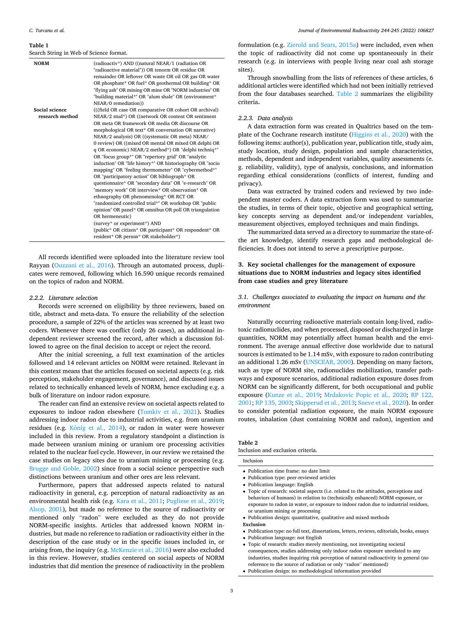#### <span id="page-2-0"></span>**Table 1**

Search String in Web of Science format.

| <b>NORM</b>     | (radioactiv*) AND ((natural NEAR/1 (radiation OR<br>"radioactive material")) OR tenorm OR residue OR<br>remainder OR leftover OR waste OR oil OR gas OR water<br>OR phosphate* OR fuel* OR geothermal OR building* OR<br>"flying ash" OR mining OR mine OR "NORM industries" OR<br>"building material*" OR "alum shale" OR (environment*<br>NEAR/0 remediation)) |
|-----------------|------------------------------------------------------------------------------------------------------------------------------------------------------------------------------------------------------------------------------------------------------------------------------------------------------------------------------------------------------------------|
| Social science  | (((field OR case OR comparative OR cohort OR archival))                                                                                                                                                                                                                                                                                                          |
| research method | NEAR/2 stud*) OR ((network OR content OR sentiment                                                                                                                                                                                                                                                                                                               |
|                 | OR meta OR framework OR media OR discourse OR                                                                                                                                                                                                                                                                                                                    |
|                 | morphological OR text* OR conversation OR narrative)                                                                                                                                                                                                                                                                                                             |
|                 | NEAR/2 analysis) OR ((systematic OR meta) NEAR/                                                                                                                                                                                                                                                                                                                  |
|                 | 0 review) OR ((mixed OR mental OR mixed OR delphi OR                                                                                                                                                                                                                                                                                                             |
|                 | q OR economic) NEAR/2 method*) OR "delphi techniq*"                                                                                                                                                                                                                                                                                                              |
|                 | OR "focus group*" OR "repertory grid" OR "analytic                                                                                                                                                                                                                                                                                                               |
|                 | induction" OR "life history*" OR historiography OR "socio                                                                                                                                                                                                                                                                                                        |
|                 | mapping" OR "feeling thermometer" OR "cybermethod*"                                                                                                                                                                                                                                                                                                              |
|                 | OR "participatory action" OR bibliograph* OR                                                                                                                                                                                                                                                                                                                     |
|                 | questionnaire* OR "secondary data" OR "e-research" OR                                                                                                                                                                                                                                                                                                            |
|                 | "memory work" OR interview* OR observation* OR                                                                                                                                                                                                                                                                                                                   |
|                 | ethnography OR phenomenolog* OR RCT OR                                                                                                                                                                                                                                                                                                                           |
|                 | "randomized controlled trial*" OR workshop OR "public                                                                                                                                                                                                                                                                                                            |
|                 | opinion" OR panel* OR omnibus OR poll OR triangulation                                                                                                                                                                                                                                                                                                           |
|                 | OR hermeneutic)                                                                                                                                                                                                                                                                                                                                                  |
|                 | (survey* or experiment*) AND                                                                                                                                                                                                                                                                                                                                     |
|                 | (public* OR citizen* OR participant* OR respondent* OR<br>resident* OR person* OR stakeholder*)                                                                                                                                                                                                                                                                  |

All records identified were uploaded into the literature review tool Rayyan ([Ouzzani et al., 2016](#page-14-0)). Through an automated process, duplicates were removed, following which 16.590 unique records remained on the topics of radon and NORM.

### *2.2.2. Literature selection*

Records were screened on eligibility by three reviewers, based on title, abstract and meta-data. To ensure the reliability of the selection procedure, a sample of 22% of the articles was screened by at least two coders. Whenever there was conflict (only 26 cases), an additional independent reviewer screened the record, after which a discussion followed to agree on the final decision to accept or reject the record.

After the initial screening, a full text examination of the articles followed and 14 relevant articles on NORM were retained. Relevant in this context means that the articles focused on societal aspects (e.g. risk perception, stakeholder engagement, governance), and discussed issues related to technically enhanced levels of NORM, hence excluding e.g. a bulk of literature on indoor radon exposure.

The reader can find an extensive review on societal aspects related to exposures to indoor radon elsewhere [\(Tomkiv et al., 2021\)](#page-14-0)**.** Studies addressing indoor radon due to industrial activities, e.g. from uranium residues (e.g. König [et al., 2014](#page-14-0)), or radon in water were however included in this review. From a regulatory standpoint a distinction is made between uranium mining or uranium ore processing activities related to the nuclear fuel cycle. However, in our review we retained the case studies on legacy sites due to uranium mining or processing (e.g. [Brugge and Goble, 2002](#page-13-0)) since from a social science perspective such distinctions between uranium and other ores are less relevant.

Furthermore, papers that addressed aspects related to natural radioactivity in general, e.g. perception of natural radioactivity as an environmental health risk (e.g. [Kara et al., 2011](#page-14-0); [Pugliese et al., 2019](#page-14-0); [Alsop, 2001\)](#page-13-0), but made no reference to the source of radioactivity or mentioned only "radon" were excluded as they do not provide NORM-specific insights. Articles that addressed known NORM industries, but made no reference to radiation or radioactivity either in the description of the case study or in the specific issues included in, or arising from, the inquiry (e.g. [McKenzie et al., 2016](#page-14-0)) were also excluded in this review. However, studies centered on social aspects of NORM industries that did mention the presence of radioactivity in the problem

formulation (e.g. [Zierold and Sears, 2015a](#page-15-0)) were included, even when the topic of radioactivity did not come up spontaneously in their research (e.g. in interviews with people living near coal ash storage sites).

Through snowballing from the lists of references of these articles, 6 additional articles were identified which had not been initially retrieved from the four databases searched. Table 2 summarizes the eligibility criteria**.** 

#### *2.2.3. Data analysis*

A data extraction form was created in Qualtrics based on the template of the Cochrane research institute [\(Higgins et al., 2020](#page-13-0)) with the following items: author(s), publication year, publication title, study aim, study location, study design, population and sample characteristics, methods, dependent and independent variables, quality assessments (e. g. reliability, validity), type of analysis, conclusions, and information regarding ethical considerations (conflicts of interest, funding and privacy).

Data was extracted by trained coders and reviewed by two independent master coders. A data extraction form was used to summarize the studies, in terms of their topic, objective and geographical setting, key concepts serving as dependent and/or independent variables, measurement objectives, employed techniques and main findings.

The summarized data served as a directory to summarize the state-ofthe art knowledge, identify research gaps and methodological deficiencies. It does not intend to serve a prescriptive purpose.

# **3. Key societal challenges for the management of exposure situations due to NORM industries and legacy sites identified from case studies and grey literature**

### *3.1. Challenges associated to evaluating the impact on humans and the environment*

Naturally occurring radioactive materials contain long-lived, radiotoxic radionuclides, and when processed, disposed or discharged in large quantities, NORM may potentially affect human health and the environment. The average annual effective dose worldwide due to natural sources is estimated to be 1.14 mSv, with exposure to radon contributing an additional 1.26 mSv [\(UNSCEAR, 2000\)](#page-15-0). Depending on many factors, such as type of NORM site, radionuclides mobilization, transfer pathways and exposure scenarios, additional radiation exposure doses from NORM can be significantly different, for both occupational and public exposure [\(Kunze et al., 2019;](#page-14-0) [Mrdakovic Popic et al., 2020](#page-14-0); [RP 122,](#page-14-0)  [2001; RP 135, 2003; Skipperud et al., 2013; Sneve et al., 2020\)](#page-14-0). In order to consider potential radiation exposure, the main NORM exposure routes, inhalation (dust containing NORM and radon), ingestion and

#### **Table 2**

Inclusion

Inclusion and exclusion criteria.

| • Publication time frame: no date limit |  |
|-----------------------------------------|--|

- Publication type: peer-reviewed articles
- Publication language: English
- Topic of research: societal aspects (i.e. related to the attitudes, perceptions and behaviors of humans) in relation to (technically enhanced) NORM exposure, or exposure to radon in water, or exposure to indoor radon due to industrial residues, or uranium mining or processing

• Publication design: quantitative, qualitative and mixed methods

**Exclusion** 

- Publication type: no full text, dissertations, letters, reviews, editorials, books, essays
- Publication language: not English
- Topic of research: studies merely mentioning, not investigating societal consequences, studies addressing only indoor radon exposure unrelated to any industries, studies inquiring risk perception of natural radioactivity in general (no reference to the source of radiation or only "radon" mentioned)
- Publication design: no methodological information provided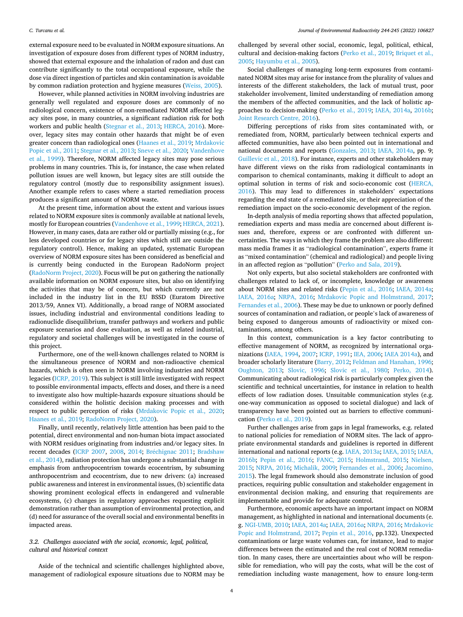external exposure need to be evaluated in NORM exposure situations. An investigation of exposure doses from different types of NORM industry, showed that external exposure and the inhalation of radon and dust can contribute significantly to the total occupational exposure, while the dose via direct ingestion of particles and skin contamination is avoidable by common radiation protection and hygiene measures [\(Weiss, 2005\)](#page-15-0).

However, while planned activities in NORM involving industries are generally well regulated and exposure doses are commonly of no radiological concern, existence of non-remediated NORM affected legacy sites pose, in many countries, a significant radiation risk for both workers and public health [\(Stegnar et al., 2013](#page-14-0); [HERCA, 2016\)](#page-13-0). Moreover, legacy sites may contain other hazards that might be of even greater concern than radiological ones ([Haanes et al., 2019;](#page-13-0) [Mrdakovic](#page-14-0)  [Popic et al., 2011](#page-14-0); [Stegnar et al., 2013; Sneve et al., 2020](#page-14-0); [Vandenhove](#page-15-0)  [et al., 1999\)](#page-15-0). Therefore, NORM affected legacy sites may pose serious problems in many countries. This is, for instance, the case when related pollution issues are well known, but legacy sites are still outside the regulatory control (mostly due to responsibility assignment issues). Another example refers to cases where a started remediation process produces a significant amount of NORM waste.

At the present time, information about the extent and various issues related to NORM exposure sites is commonly available at national levels, mostly for European countries [\(Vandenhove et al., 1999](#page-15-0); [HERCA, 2021](#page-13-0)). However, in many cases, data are rather old or partially missing (e.g., for less developed countries or for legacy sites which still are outside the regulatory control). Hence, making an updated, systematic European overview of NORM exposure sites has been considered as beneficial and is currently being conducted in the European RadoNorm project ([RadoNorm Project, 2020\)](#page-14-0). Focus will be put on gathering the nationally available information on NORM exposure sites, but also on identifying the activities that may be of concern, but which currently are not included in the industry list in the EU BSSD (Euratom Directive 2013/59, Annex VI). Additionally, a broad range of NORM associated issues, including industrial and environmental conditions leading to radionuclide disequilibrium, transfer pathways and workers and public exposure scenarios and dose evaluation, as well as related industrial, regulatory and societal challenges will be investigated in the course of this project.

Furthermore, one of the well-known challenges related to NORM is the simultaneous presence of NORM and non-radioactive chemical hazards, which is often seen in NORM involving industries and NORM legacies [\(ICRP, 2019\)](#page-14-0). This subject is still little investigated with respect to possible environmental impacts, effects and doses, and there is a need to investigate also how multiple-hazards exposure situations should be considered within the holistic decision making processes and with respect to public perception of risks [\(Mrdakovic Popic et al., 2020](#page-14-0); [Haanes et al., 2019;](#page-13-0) [RadoNorm Project, 2020](#page-14-0)).

Finally, until recently, relatively little attention has been paid to the potential, direct environmental and non-human biota impact associated with NORM residues originating from industries and/or legacy sites. In recent decades ([ICRP 2007,](#page-14-0) [2008](#page-14-0), [2014;](#page-14-0) Bréchignac 2011; Bradshaw [et al., 2014\)](#page-13-0), radiation protection has undergone a substantial change in emphasis from anthropocentrism towards ecocentrism, by subsuming anthropocentrism and ecocentrism, due to new drivers: (a) increased public awareness and interest in environmental issues, (b) scientific data showing prominent ecological effects in endangered and vulnerable ecosystems, (c) changes in regulatory approaches requesting explicit demonstration rather than assumption of environmental protection, and (d) need for assurance of the overall social and environmental benefits in impacted areas.

# *3.2. Challenges associated with the social, economic, legal, political, cultural and historical context*

Aside of the technical and scientific challenges highlighted above, management of radiological exposure situations due to NORM may be challenged by several other social, economic, legal, political, ethical, cultural and decision-making factors [\(Perko et al., 2019;](#page-14-0) [Briquet et al.,](#page-13-0)  [2005; Hayumbu et al., 2005](#page-13-0)).

Social challenges of managing long-term exposures from contaminated NORM sites may arise for instance from the plurality of values and interests of the different stakeholders, the lack of mutual trust, poor stakeholder involvement, limited understanding of remediation among the members of the affected communities, and the lack of holistic approaches to decision-making [\(Perko et al., 2019](#page-14-0); [IAEA, 2014a](#page-14-0), [2016b](#page-14-0); [Joint Research Centre, 2016\)](#page-14-0).

Differing perceptions of risks from sites contaminated with, or remediated from, NORM, particularly between technical experts and affected communities, have also been pointed out in international and national documents and reports ([Gonzales, 2013](#page-13-0); [IAEA, 2014a,](#page-14-0) pp. 9; [Guillevic et al., 2018](#page-13-0)). For instance, experts and other stakeholders may have different views on the risks from radiological contaminants in comparison to chemical contaminants, making it difficult to adopt an optimal solution in terms of risk and socio-economic cost [\(HERCA,](#page-13-0)  [2016\)](#page-13-0). This may lead to differences in stakeholders' expectations regarding the end state of a remediated site, or their appreciation of the remediation impact on the socio-economic development of the region.

In-depth analysis of media reporting shows that affected population, remediation experts and mass media are concerned about different issues and, therefore, express or are confronted with different uncertainties. The ways in which they frame the problem are also different: mass media frames it as "radiological contamination", experts frame it as "mixed contamination" (chemical and radiological) and people living in an affected region as "pollution" [\(Perko and Sala, 2019\)](#page-14-0).

Not only experts, but also societal stakeholders are confronted with challenges related to lack of, or incomplete, knowledge or awareness about NORM sites and related risks ([Pepin et al., 2016;](#page-14-0) [IAEA, 2014a](#page-14-0); [IAEA, 2016a;](#page-14-0) [NRPA, 2016](#page-14-0); [Mrdakovic Popic and Holmstrand, 2017](#page-14-0); [Fernandes et al., 2006](#page-13-0)). These may be due to unknown or poorly defined sources of contamination and radiation, or people's lack of awareness of being exposed to dangerous amounts of radioactivity or mixed contaminations, among others.

In this context, communication is a key factor contributing to effective management of NORM, as recognized by international organizations ([IAEA, 1994](#page-13-0), [2007; ICRP, 1991; IEA, 2006](#page-14-0); [IAEA 2014a](#page-14-0)), and broader scholarly literature [\(Barry, 2012; Feldman and Hanahan, 1996](#page-13-0); [Oughton, 2013;](#page-14-0) [Slovic, 1996;](#page-14-0) [Slovic et al., 1980;](#page-14-0) [Perko, 2014](#page-14-0)). Communicating about radiological risk is particularly complex given the scientific and technical uncertainties, for instance in relation to health effects of low radiation doses. Unsuitable communication styles (e.g. one-way communication as opposed to societal dialogue) and lack of transparency have been pointed out as barriers to effective communication ([Perko et al., 2019\)](#page-14-0).

Further challenges arise from gaps in legal frameworks, e.g. related to national policies for remediation of NORM sites. The lack of appropriate environmental standards and guidelines is reported in different international and national reports (e.g. [IAEA, 2013a; IAEA, 2015](#page-14-0); [IAEA,](#page-14-0)  [2016b;](#page-14-0) [Pepin et al., 2016;](#page-14-0) [FANC, 2015;](#page-13-0) [Holmstrand, 2015](#page-13-0); [Nielsen,](#page-14-0)  [2015; NRPA, 2016](#page-14-0); [Michalik, 2009;](#page-14-0) [Fernandes et al., 2006](#page-13-0); [Jacomino,](#page-14-0)  [2015\)](#page-14-0). The legal framework should also demonstrate inclusion of good practices, requiring public consultation and stakeholder engagement in environmental decision making, and ensuring that requirements are implementable and provide for adequate control.

Furthermore, economic aspects have an important impact on NORM management, as highlighted in national and international documents (e. g. [NGI-UMB, 2010](#page-14-0); [IAEA, 2014a; IAEA, 2016a](#page-14-0); [NRPA, 2016; Mrdakovic](#page-14-0)  [Popic and Holmstrand, 2017](#page-14-0); [Pepin et al., 2016](#page-14-0), pp.132). Unexpected contaminations or large waste volumes can, for instance, lead to major differences between the estimated and the real cost of NORM remediation. In many cases, there are uncertainties about who will be responsible for remediation, who will pay the costs, what will be the cost of remediation including waste management, how to ensure long-term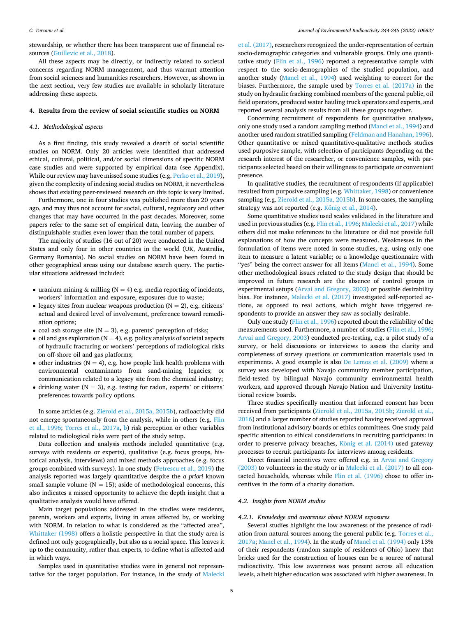#### *C. Turcanu et al.*

stewardship, or whether there has been transparent use of financial resources ([Guillevic et al., 2018](#page-13-0)).

All these aspects may be directly, or indirectly related to societal concerns regarding NORM management, and thus warrant attention from social sciences and humanities researchers. However, as shown in the next section, very few studies are available in scholarly literature addressing these aspects.

### **4. Results from the review of social scientific studies on NORM**

#### *4.1. Methodological aspects*

As a first finding, this study revealed a dearth of social scientific studies on NORM. Only 20 articles were identified that addressed ethical, cultural, political, and/or social dimensions of specific NORM case studies and were supported by empirical data (see Appendix). While our review may have missed some studies (e.g. [Perko et al., 2019](#page-14-0)), given the complexity of indexing social studies on NORM, it nevertheless shows that existing peer-reviewed research on this topic is very limited.

Furthermore, one in four studies was published more than 20 years ago, and may thus not account for social, cultural, regulatory and other changes that may have occurred in the past decades. Moreover, some papers refer to the same set of empirical data, leaving the number of distinguishable studies even lower than the total number of papers.

The majority of studies (16 out of 20) were conducted in the United States and only four in other countries in the world (UK, Australia, Germany Romania). No social studies on NORM have been found in other geographical areas using our database search query. The particular situations addressed included:

- uranium mining  $&$  milling (N = 4) e.g. media reporting of incidents, workers' information and exposure, exposures due to waste;
- legacy sites from nuclear weapons production  $(N = 2)$ , e.g. citizens' actual and desired level of involvement, preference toward remediation options;
- coal ash storage site ( $N = 3$ ), e.g. parents' perception of risks;
- oil and gas exploration ( $N = 4$ ), e.g. policy analysis of societal aspects of hydraulic fracturing or workers' perceptions of radiological risks on off-shore oil and gas platforms;
- other industries ( $N = 4$ ), e.g. how people link health problems with environmental contaminants from sand-mining legacies; or communication related to a legacy site from the chemical industry;
- drinking water  $(N = 3)$ , e.g. testing for radon, experts' or citizens' preferences towards policy options.

In some articles (e.g. [Zierold et al., 2015a, 2015b\)](#page-15-0), radioactivity did not emerge spontaneously from the analysis, while in others (e.g. [Flin](#page-13-0)  [et al., 1996;](#page-13-0) [Torres et al., 2017a,](#page-15-0) [b](#page-15-0)) risk perception or other variables related to radiological risks were part of the study setup.

Data collection and analysis methods included quantitative (e.g. surveys with residents or experts), qualitative (e.g. focus groups, historical analysis, interviews) and mixed methods approaches (e.g. focus groups combined with surveys). In one study ([Petrescu et al., 2019](#page-14-0)) the analysis reported was largely quantitative despite the *a priori* known small sample volume ( $N = 15$ ); aside of methodological concerns, this also indicates a missed opportunity to achieve the depth insight that a qualitative analysis would have offered.

Main target populations addressed in the studies were residents, parents, workers and experts, living in areas affected by, or working with NORM. In relation to what is considered as the "affected area", [Whittaker \(1998\)](#page-15-0) offers a holistic perspective in that the study area is defined not only geographically, but also as a social space. This leaves it up to the community, rather than experts, to define what is affected and in which ways.

Samples used in quantitative studies were in general not representative for the target population. For instance, in the study of [Malecki](#page-14-0)  [et al. \(2017\),](#page-14-0) researchers recognized the under-representation of certain socio-demographic categories and vulnerable groups. Only one quantitative study [\(Flin et al., 1996\)](#page-13-0) reported a representative sample with respect to the socio-demographics of the studied population, and another study ([Mancl et al., 1994](#page-14-0)) used weighting to correct for the biases. Furthermore, the sample used by [Torres et al. \(2017a\)](#page-15-0) in the study on hydraulic fracking combined members of the general public, oil field operators, produced water hauling truck operators and experts, and reported several analysis results from all these groups together.

Concerning recruitment of respondents for quantitative analyses, only one study used a random sampling method [\(Mancl et al., 1994\)](#page-14-0) and another used random stratified sampling [\(Feldman and Hanahan, 1996](#page-13-0)). Other quantitative or mixed quantitative-qualitative methods studies used purposive sample, with selection of participants depending on the research interest of the researcher, or convenience samples, with participants selected based on their willingness to participate or convenient presence.

In qualitative studies, the recruitment of respondents (if applicable) resulted from purposive sampling (e.g. [Whittaker, 1998\)](#page-15-0) or convenience sampling (e.g. [Zierold et al., 2015a, 2015b\)](#page-15-0). In some cases, the sampling strategy was not reported (e.g. König et al.,  $2014$ ).

Some quantitative studies used scales validated in the literature and used in previous studies (e.g. [Flin et al., 1996;](#page-13-0) [Malecki et al., 2017\)](#page-14-0) while others did not make references to the literature or did not provide full explanations of how the concepts were measured. Weaknesses in the formulation of items were noted in some studies, e.g. using only one item to measure a latent variable; or a knowledge questionnaire with "yes" being the correct answer for all items [\(Mancl et al., 1994\)](#page-14-0). Some other methodological issues related to the study design that should be improved in future research are the absence of control groups in experimental setups ([Arvai and Gregory, 2003\)](#page-13-0) or possible desirability bias. For instance, [Malecki et al. \(2017\)](#page-14-0) investigated self-reported actions, as opposed to real actions, which might have triggered respondents to provide an answer they saw as socially desirable.

Only one study ([Flin et al., 1996](#page-13-0)) reported about the reliability of the measurements used. Furthermore, a number of studies ([Flin et al., 1996](#page-13-0); [Arvai and Gregory, 2003](#page-13-0)) conducted pre-testing, e.g. a pilot study of a survey, or held discussions or interviews to assess the clarity and completeness of survey questions or communication materials used in experiments. A good example is also [De Lemos et al. \(2009\)](#page-13-0) where a survey was developed with Navajo community member participation, field-tested by bilingual Navajo community environmental health workers, and approved through Navajo Nation and University Institutional review boards.

Three studies specifically mention that informed consent has been received from participants ([Zierold et al., 2015a, 2015b](#page-15-0); [Zierold et al.,](#page-15-0)  [2016\)](#page-15-0) and a larger number of studies reported having received approval from institutional advisory boards or ethics committees. One study paid specific attention to ethical considerations in recruiting participants: in order to preserve privacy breaches, König [et al. \(2014\)](#page-14-0) used gateway processes to recruit participants for interviews among residents.

Direct financial incentives were offered e.g. in [Arvai and Gregory](#page-13-0)  [\(2003\)](#page-13-0) to volunteers in the study or in [Malecki et al. \(2017\)](#page-14-0) to all contacted households, whereas while [Flin et al. \(1996\)](#page-13-0) chose to offer incentives in the form of a charity donation.

#### *4.2. Insights from NORM studies*

#### *4.2.1. Knowledge and awareness about NORM exposures*

Several studies highlight the low awareness of the presence of radiation from natural sources among the general public (e.g. [Torres et al.,](#page-15-0)  [2017a;](#page-15-0) [Mancl et al., 1994\)](#page-14-0). In the study of [Mancl et al. \(1994\)](#page-14-0) only 13% of their respondents (random sample of residents of Ohio) knew that bricks used for the construction of houses can be a source of natural radioactivity. This low awareness was present across all education levels, albeit higher education was associated with higher awareness. In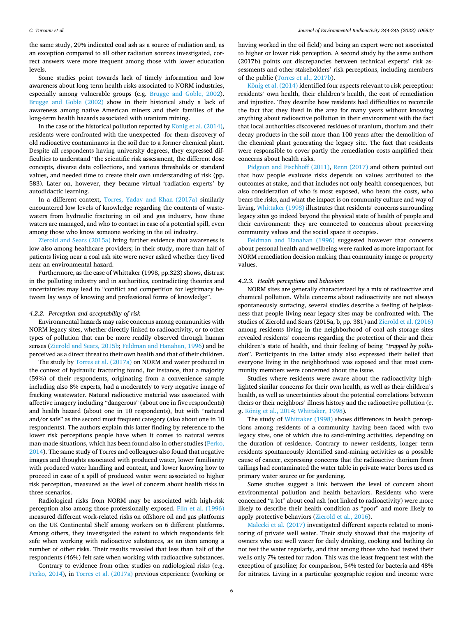the same study, 29% indicated coal ash as a source of radiation and, as an exception compared to all other radiation sources investigated, correct answers were more frequent among those with lower education levels.

Some studies point towards lack of timely information and low awareness about long term health risks associated to NORM industries, especially among vulnerable groups (e.g. [Brugge and Goble, 2002](#page-13-0)). [Brugge and Goble \(2002\)](#page-13-0) show in their historical study a lack of awareness among native American miners and their families of the long-term health hazards associated with uranium mining.

In the case of the historical pollution reported by König [et al. \(2014\)](#page-14-0), residents were confronted with the unexpected -for them-discovery of old radioactive contaminants in the soil due to a former chemical plant. Despite all respondents having university degrees, they expressed difficulties to understand "the scientific risk assessment, the different dose concepts, diverse data collections, and various thresholds or standard values, and needed time to create their own understanding of risk (pp. 583). Later on, however, they became virtual 'radiation experts' by autodidactic learning.

In a different context, [Torres, Yadav and Khan \(2017a\)](#page-15-0) similarly encountered low levels of knowledge regarding the contents of wastewaters from hydraulic fracturing in oil and gas industry, how these waters are managed, and who to contact in case of a potential spill, even among those who know someone working in the oil industry.

[Zierold and Sears \(2015a\)](#page-15-0) bring further evidence that awareness is low also among healthcare providers; in their study, more than half of patients living near a coal ash site were never asked whether they lived near an environmental hazard.

Furthermore, as the case of Whittaker (1998, pp.323) shows, distrust in the polluting industry and in authorities, contradicting theories and uncertainties may lead to "conflict and competition for legitimacy between lay ways of knowing and professional forms of knowledge".

#### *4.2.2. Perception and acceptability of risk*

Environmental hazards may raise concerns among communities with NORM legacy sites, whether directly linked to radioactivity, or to other types of pollution that can be more readily observed through human senses ([Zierold and Sears, 2015b;](#page-15-0) [Feldman and Hanahan, 1996\)](#page-13-0) and be perceived as a direct threat to their own health and that of their children.

The study by [Torres et al. \(2017a\)](#page-15-0) on NORM and water produced in the context of hydraulic fracturing found, for instance, that a majority (59%) of their respondents, originating from a convenience sample including also 8% experts, had a moderately to very negative image of fracking wastewater. Natural radioactive material was associated with affective imagery including "dangerous" (about one in five respondents) and health hazard (about one in 10 respondents), but with "natural and/or safe" as the second most frequent category (also about one in 10 respondents). The authors explain this latter finding by reference to the lower risk perceptions people have when it comes to natural versus man-made situations, which has been found also in other studies [\(Perko,](#page-14-0)  [2014\)](#page-14-0). The same study of Torres and colleagues also found that negative images and thoughts associated with produced water, lower familiarity with produced water handling and content, and lower knowing how to proceed in case of a spill of produced water were associated to higher risk perception, measured as the level of concern about health risks in three scenarios.

Radiological risks from NORM may be associated with high-risk perception also among those professionally exposed. [Flin et al. \(1996\)](#page-13-0)  measured different work-related risks on offshore oil and gas platforms on the UK Continental Shelf among workers on 6 different platforms. Among others, they investigated the extent to which respondents felt safe when working with radioactive substances, as an item among a number of other risks. Their results revealed that less than half of the respondents (46%) felt safe when working with radioactive substances.

Contrary to evidence from other studies on radiological risks (e.g. [Perko, 2014\)](#page-14-0), in [Torres et al. \(2017a\)](#page-15-0) previous experience (working or having worked in the oil field) and being an expert were not associated to higher or lower risk perception. A second study by the same authors (2017b) points out discrepancies between technical experts' risk assessments and other stakeholders' risk perceptions, including members of the public ([Torres et al., 2017b](#page-15-0)).

König [et al. \(2014\)](#page-14-0) identified four aspects relevant to risk perception: residents' own health, their children's health, the cost of remediation and injustice. They describe how residents had difficulties to reconcile the fact that they lived in the area for many years without knowing anything about radioactive pollution in their environment with the fact that local authorities discovered residues of uranium, thorium and their decay products in the soil more than 100 years after the demolition of the chemical plant generating the legacy site. The fact that residents were responsible to cover partly the remediation costs amplified their concerns about health risks.

[Pidgeon and Fischhoff \(2011\)](#page-14-0), [Renn \(2017\)](#page-14-0) and others pointed out that how people evaluate risks depends on values attributed to the outcomes at stake, and that includes not only health consequences, but also consideration of who is most exposed, who bears the costs, who bears the risks, and what the impact is on community culture and way of living. [Whittaker \(1998\)](#page-15-0) illustrates that residents' concerns surrounding legacy sites go indeed beyond the physical state of health of people and their environment: they are connected to concerns about preserving community values and the social space it occupies.

[Feldman and Hanahan \(1996\)](#page-13-0) suggested however that concerns about personal health and wellbeing were ranked as more important for NORM remediation decision making than community image or property values.

#### *4.2.3. Health perceptions and behaviors*

NORM sites are generally characterized by a mix of radioactive and chemical pollution. While concerns about radioactivity are not always spontaneously surfacing, several studies describe a feeling of helplessness that people living near legacy sites may be confronted with. The studies of Zierold and Sears (2015a, b, pp. 381) and [Zierold et al. \(2016\)](#page-15-0)  among residents living in the neighborhood of coal ash storage sites revealed residents' concerns regarding the protection of their and their children's state of health, and their feeling of being *"trapped by pollution*". Participants in the latter study also expressed their belief that everyone living in the neighborhood was exposed and that most community members were concerned about the issue.

Studies where residents were aware about the radioactivity highlighted similar concerns for their own health, as well as their children's health, as well as uncertainties about the potential correlations between theirs or their neighbors' illness history and the radioactive pollution (e. g. König [et al., 2014;](#page-14-0) [Whittaker, 1998\)](#page-15-0).

The study of [Whittaker \(1998\)](#page-15-0) shows differences in health perceptions among residents of a community having been faced with two legacy sites, one of which due to sand-mining activities, depending on the duration of residence. Contrary to newer residents, longer term residents spontaneously identified sand-mining activities as a possible cause of cancer, expressing concerns that the radioactive thorium from tailings had contaminated the water table in private water bores used as primary water source or for gardening.

Some studies suggest a link between the level of concern about environmental pollution and health behaviors. Residents who were concerned "a lot" about coal ash (not linked to radioactivity) were more likely to describe their health condition as "poor" and more likely to apply protective behaviors [\(Zierold et al., 2016\)](#page-15-0).

[Malecki et al. \(2017\)](#page-14-0) investigated different aspects related to monitoring of private well water. Their study showed that the majority of owners who use well water for daily drinking, cooking and bathing do not test the water regularly, and that among those who had tested their wells only 7% tested for radon. This was the least frequent test with the exception of gasoline; for comparison, 54% tested for bacteria and 48% for nitrates. Living in a particular geographic region and income were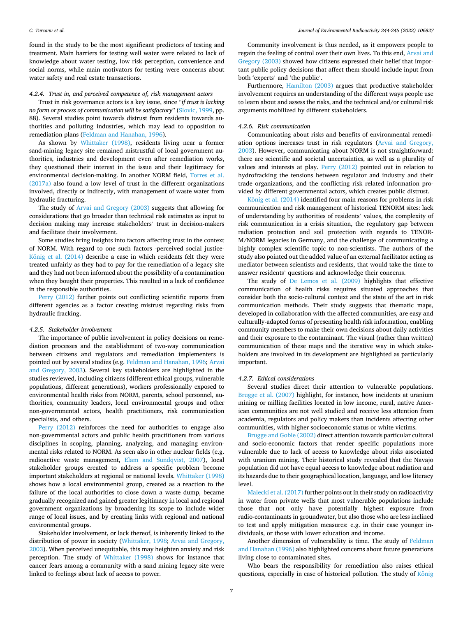found in the study to be the most significant predictors of testing and treatment. Main barriers for testing well water were related to lack of knowledge about water testing, low risk perception, convenience and social norms, while main motivators for testing were concerns about water safety and real estate transactions.

#### *4.2.4. Trust in, and perceived competence of, risk management actors*

Trust in risk governance actors is a key issue, since "*if trust is lacking no form or process of communication will be satisfactory*" [\(Slovic, 1999](#page-14-0), pp. 88). Several studies point towards distrust from residents towards authorities and polluting industries, which may lead to opposition to remediation plans ([Feldman and Hanahan, 1996](#page-13-0)).

As shown by [Whittaker \(1998\),](#page-15-0) residents living near a former sand-mining legacy site remained mistrustful of local government authorities, industries and development even after remediation works, they questioned their interest in the issue and their legitimacy for environmental decision-making. In another NORM field, [Torres et al.](#page-15-0)  [\(2017a\)](#page-15-0) also found a low level of trust in the different organizations involved, directly or indirectly, with management of waste water from hydraulic fracturing.

The study of [Arvai and Gregory \(2003\)](#page-13-0) suggests that allowing for considerations that go broader than technical risk estimates as input to decision making may increase stakeholders' trust in decision-makers and facilitate their involvement.

Some studies bring insights into factors affecting trust in the context of NORM. With regard to one such factors -perceived social justiceKönig [et al. \(2014\)](#page-14-0) describe a case in which residents felt they were treated unfairly as they had to pay for the remediation of a legacy site and they had not been informed about the possibility of a contamination when they bought their properties. This resulted in a lack of confidence in the responsible authorities.

[Perry \(2012\)](#page-14-0) further points out conflicting scientific reports from different agencies as a factor creating mistrust regarding risks from hydraulic fracking.

#### *4.2.5. Stakeholder involvement*

The importance of public involvement in policy decisions on remediation processes and the establishment of two-way communication between citizens and regulators and remediation implementers is pointed out by several studies (e.g. [Feldman and Hanahan, 1996](#page-13-0); [Arvai](#page-13-0)  [and Gregory, 2003](#page-13-0)). Several key stakeholders are highlighted in the studies reviewed, including citizens (different ethical groups, vulnerable populations, different generations), workers professionally exposed to environmental health risks from NORM, parents, school personnel, authorities, community leaders, local environmental groups and other non-governmental actors, health practitioners, risk communication specialists, and others.

[Perry \(2012\)](#page-14-0) reinforces the need for authorities to engage also non-governmental actors and public health practitioners from various disciplines in scoping, planning, analyzing, and managing environmental risks related to NORM. As seen also in other nuclear fields (e.g. radioactive waste management, [Elam and Sundqvist, 2007](#page-13-0)), local stakeholder groups created to address a specific problem become important stakeholders at regional or national levels. [Whittaker \(1998\)](#page-15-0)  shows how a local environmental group, created as a reaction to the failure of the local authorities to close down a waste dump, became gradually recognized and gained greater legitimacy in local and regional government organizations by broadening its scope to include wider range of local issues, and by creating links with regional and national environmental groups.

Stakeholder involvement, or lack thereof, is inherently linked to the distribution of power in society ([Whittaker, 1998;](#page-15-0) [Arvai and Gregory,](#page-13-0)  [2003\)](#page-13-0). When perceived unequitable, this may heighten anxiety and risk perception. The study of [Whittaker \(1998\)](#page-15-0) shows for instance that cancer fears among a community with a sand mining legacy site were linked to feelings about lack of access to power.

Community involvement is thus needed, as it empowers people to regain the feeling of control over their own lives. To this end, [Arvai and](#page-13-0)  [Gregory \(2003\)](#page-13-0) showed how citizens expressed their belief that important public policy decisions that affect them should include input from both 'experts' and 'the public'.

Furthermore, [Hamilton \(2003\)](#page-13-0) argues that productive stakeholder involvement requires an understanding of the different ways people use to learn about and assess the risks, and the technical and/or cultural risk arguments mobilized by different stakeholders.

#### *4.2.6. Risk communication*

Communicating about risks and benefits of environmental remediation options increases trust in risk regulators [\(Arvai and Gregory,](#page-13-0)  [2003\)](#page-13-0). However, communicating about NORM is not straightforward: there are scientific and societal uncertainties, as well as a plurality of values and interests at play. [Perry \(2012\)](#page-14-0) pointed out in relation to hydrofracking the tensions between regulator and industry and their trade organizations, and the conflicting risk related information provided by different governmental actors, which creates public distrust.

König et al.  $(2014)$  identified four main reasons for problems in risk communication and risk management of historical TENORM sites: lack of understanding by authorities of residents' values, the complexity of risk communication in a crisis situation, the regulatory gap between radiation protection and soil protection with regards to TENOR-M/NORM legacies in Germany, and the challenge of communicating a highly complex scientific topic to non-scientists. The authors of the study also pointed out the added value of an external facilitator acting as mediator between scientists and residents, that would take the time to answer residents' questions and acknowledge their concerns.

The study of [De Lemos et al. \(2009\)](#page-13-0) highlights that effective communication of health risks requires situated approaches that consider both the socio-cultural context and the state of the art in risk communication methods. Their study suggests that thematic maps, developed in collaboration with the affected communities, are easy and culturally-adapted forms of presenting health risk information, enabling community members to make their own decisions about daily activities and their exposure to the contaminant. The visual (rather than written) communication of these maps and the iterative way in which stakeholders are involved in its development are highlighted as particularly important.

### *4.2.7. Ethical considerations*

Several studies direct their attention to vulnerable populations. [Brugge et al. \(2007\)](#page-13-0) highlight, for instance, how incidents at uranium mining or milling facilities located in low income, rural, native American communities are not well studied and receive less attention from academia, regulators and policy makers than incidents affecting other communities, with higher socioeconomic status or white victims.

[Brugge and Goble \(2002\)](#page-13-0) direct attention towards particular cultural and socio-economic factors that render specific populations more vulnerable due to lack of access to knowledge about risks associated with uranium mining. Their historical study revealed that the Navajo population did not have equal access to knowledge about radiation and its hazards due to their geographical location, language, and low literacy level.

[Malecki et al. \(2017\)](#page-14-0) further points out in their study on radioactivity in water from private wells that most vulnerable populations include those that not only have potentially highest exposure from radio-contaminants in groundwater, but also those who are less inclined to test and apply mitigation measures: e.g. in their case younger individuals, or those with lower education and income.

Another dimension of vulnerability is time. The study of [Feldman](#page-13-0)  [and Hanahan \(1996\)](#page-13-0) also highlighted concerns about future generations living close to contaminated sites.

Who bears the responsibility for remediation also raises ethical questions, especially in case of historical pollution. The study of König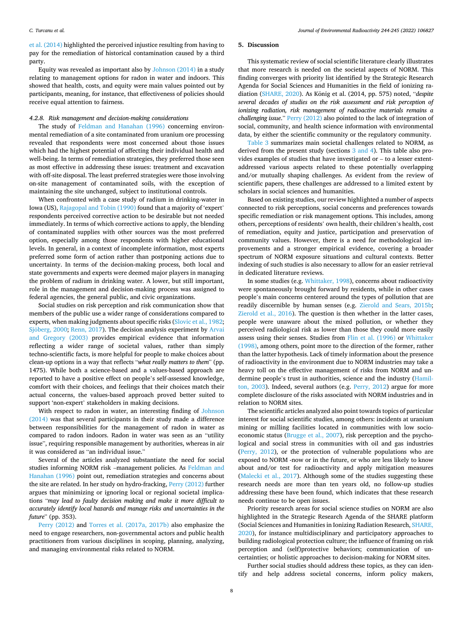<span id="page-7-0"></span>[et al. \(2014\)](#page-14-0) highlighted the perceived injustice resulting from having to pay for the remediation of historical contamination caused by a third party.

Equity was revealed as important also by [Johnson \(2014\)](#page-14-0) in a study relating to management options for radon in water and indoors. This showed that health, costs, and equity were main values pointed out by participants, meaning, for instance, that effectiveness of policies should receive equal attention to fairness.

#### *4.2.8. Risk management and decision-making considerations*

The study of [Feldman and Hanahan \(1996\)](#page-13-0) concerning environmental remediation of a site contaminated from uranium ore processing revealed that respondents were most concerned about those issues which had the highest potential of affecting their individual health and well-being. In terms of remediation strategies, they preferred those seen as most effective in addressing these issues: treatment and excavation with off-site disposal. The least preferred strategies were those involving on-site management of contaminated soils, with the exception of maintaining the site unchanged, subject to institutional controls.

When confronted with a case study of radium in drinking-water in Iowa (US), [Rajagopal and Tobin \(1990\)](#page-14-0) found that a majority of 'expert' respondents perceived corrective action to be desirable but not needed immediately. In terms of which corrective actions to apply, the blending of contaminated supplies with other sources was the most preferred option, especially among those respondents with higher educational levels. In general, in a context of incomplete information, most experts preferred some form of action rather than postponing actions due to uncertainty. In terms of the decision-making process, both local and state governments and experts were deemed major players in managing the problem of radium in drinking water. A lower, but still important, role in the management and decision-making process was assigned to federal agencies, the general public, and civic organizations.

Social studies on risk perception and risk communication show that members of the public use a wider range of considerations compared to experts, when making judgments about specific risks ([Slovic et al., 1982](#page-14-0); Sjöberg, 2000; [Renn, 2017\)](#page-14-0). The decision analysis experiment by Arvai [and Gregory \(2003\)](#page-13-0) provides empirical evidence that information reflecting a wider range of societal values, rather than simply techno-scientific facts, is more helpful for people to make choices about clean-up options in a way that reflects "*what really matters to them*" (pp. 1475). While both a science-based and a values-based approach are reported to have a positive effect on people's self-assessed knowledge, comfort with their choices, and feelings that their choices match their actual concerns, the values-based approach proved better suited to support 'non-expert' stakeholders in making decisions.

With respect to radon in water, an interesting finding of [Johnson](#page-14-0)  [\(2014\)](#page-14-0) was that several participants in their study made a difference between responsibilities for the management of radon in water as compared to radon indoors. Radon in water was seen as an "utility issue", requiring responsible management by authorities, whereas in air it was considered as "an individual issue."

Several of the articles analyzed substantiate the need for social studies informing NORM risk –management policies. As [Feldman and](#page-13-0)  [Hanahan \(1996\)](#page-13-0) point out, remediation strategies and concerns about the site are related. In her study on hydro-fracking, [Perry \(2012\)](#page-14-0) further argues that minimizing or ignoring local or regional societal implications "*may lead to faulty decision making and make it more difficult to accurately identify local hazards and manage risks and uncertainties in the future*" (pp. 353).

[Perry \(2012\)](#page-14-0) and [Torres et al. \(2017a, 2017b\)](#page-15-0) also emphasize the need to engage researchers, non-governmental actors and public health practitioners from various disciplines in scoping, planning, analyzing, and managing environmental risks related to NORM.

#### **5. Discussion**

This systematic review of social scientific literature clearly illustrates that more research is needed on the societal aspects of NORM. This finding converges with priority list identified by the Strategic Research Agenda for Social Sciences and Humanities in the field of ionizing ra-diation [\(SHARE, 2020](#page-14-0)). As König et al. (2014, pp. 575) noted, "*despite several decades of studies on the risk assessment and risk perception of ionizing radiation, risk management of radioactive materials remains a challenging issue*." [Perry \(2012\)](#page-14-0) also pointed to the lack of integration of social, community, and health science information with environmental data, by either the scientific community or the regulatory community.

[Table 3](#page-8-0) summarizes main societal challenges related to NORM, as derived from the present study (sections [3 and 4\)](#page-2-0). This table also provides examples of studies that have investigated or – to a lesser extentaddressed various aspects related to these potentially overlapping and/or mutually shaping challenges. As evident from the review of scientific papers, these challenges are addressed to a limited extent by scholars in social sciences and humanities.

Based on existing studies, our review highlighted a number of aspects connected to risk perceptions, social concerns and preferences towards specific remediation or risk management options. This includes, among others, perceptions of residents' own health, their children's health, cost of remediation, equity and justice, participation and preservation of community values. However, there is a need for methodological improvements and a stronger empirical evidence, covering a broader spectrum of NORM exposure situations and cultural contexts. Better indexing of such studies is also necessary to allow for an easier retrieval in dedicated literature reviews.

In some studies (e.g. [Whittaker, 1998](#page-15-0)), concerns about radioactivity were spontaneously brought forward by residents, while in other cases people's main concerns centered around the types of pollution that are readily discernible by human senses (e.g. [Zierold and Sears, 2015b](#page-15-0); [Zierold et al., 2016\)](#page-15-0). The question is then whether in the latter cases, people were unaware about the mixed pollution, or whether they perceived radiological risk as lower than those they could more easily assess using their senses. Studies from [Flin et al. \(1996\)](#page-13-0) or [Whittaker](#page-15-0)  [\(1998\),](#page-15-0) among others, point more to the direction of the former, rather than the latter hypothesis. Lack of timely information about the presence of radioactivity in the environment due to NORM industries may take a heavy toll on the effective management of risks from NORM and undermine people's trust in authorities, science and the industry ([Hamil](#page-13-0)[ton, 2003](#page-13-0)). Indeed, several authors (e.g. [Perry, 2012](#page-14-0)) argue for more complete disclosure of the risks associated with NORM industries and in relation to NORM sites.

The scientific articles analyzed also point towards topics of particular interest for social scientific studies, among others: incidents at uranium mining or milling facilities located in communities with low socioeconomic status [\(Brugge et al., 2007](#page-13-0)), risk perception and the psychological and social stress in communities with oil and gas industries ([Perry, 2012\)](#page-14-0), or the protection of vulnerable populations who are exposed to NORM -now or in the future, or who are less likely to know about and/or test for radioactivity and apply mitigation measures ([Malecki et al., 2017](#page-14-0)). Although some of the studies suggesting these research needs are more than ten years old, no follow-up studies addressing these have been found, which indicates that these research needs continue to be open issues.

Priority research areas for social science studies on NORM are also highlighted in the Strategic Research Agenda of the SHARE platform (Social Sciences and Humanities in Ionizing Radiation Research, [SHARE,](#page-14-0)  [2020\)](#page-14-0), for instance multidisciplinary and participatory approaches to building radiological protection culture; the influence of framing on risk perception and (self)protective behaviors; communication of uncertainties; or holistic approaches to decision-making for NORM sites.

Further social studies should address these topics, as they can identify and help address societal concerns, inform policy makers,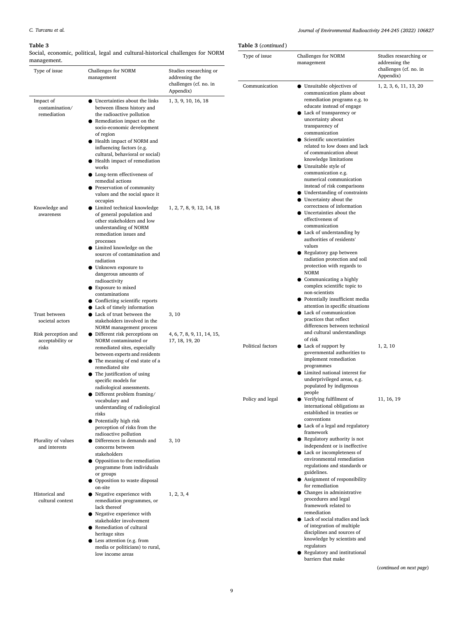### <span id="page-8-0"></span>**Table 3**

Social, economic, political, legal and cultural-historical challenges for NORM

*Journal of Environmental Radioactivity 244-245 (2022) 106827*

|  | Table 3 (continued) |
|--|---------------------|
|--|---------------------|

| management.                                      | social, economic, political, legal and cultural-historical challenges for NORM                                                                                                                                                                                                                                                                                                                                                                 |                                              | Type of issue     | Challenges for NORM<br>management                                                                                                                                                                                                                                                                                                                                                                                                | Studies researching or<br>addressing the<br>challenges (cf. no. in<br>Appendix) |
|--------------------------------------------------|------------------------------------------------------------------------------------------------------------------------------------------------------------------------------------------------------------------------------------------------------------------------------------------------------------------------------------------------------------------------------------------------------------------------------------------------|----------------------------------------------|-------------------|----------------------------------------------------------------------------------------------------------------------------------------------------------------------------------------------------------------------------------------------------------------------------------------------------------------------------------------------------------------------------------------------------------------------------------|---------------------------------------------------------------------------------|
| Type of issue                                    | Challenges for NORM<br>management                                                                                                                                                                                                                                                                                                                                                                                                              | Studies researching or<br>addressing the     |                   |                                                                                                                                                                                                                                                                                                                                                                                                                                  |                                                                                 |
|                                                  |                                                                                                                                                                                                                                                                                                                                                                                                                                                | challenges (cf. no. in<br>Appendix)          | Communication     | • Unsuitable objectives of<br>communication plans about                                                                                                                                                                                                                                                                                                                                                                          | 1, 2, 3, 6, 11, 13, 20                                                          |
| Impact of<br>contamination/<br>remediation       | • Uncertainties about the links<br>between illness history and<br>the radioactive pollution<br>• Remediation impact on the<br>socio-economic development<br>of region<br>Health impact of NORM and<br>influencing factors (e.g.<br>cultural, behavioral or social)<br>● Health impact of remediation<br>works<br>• Long-term effectiveness of<br>remedial actions<br>• Preservation of community<br>values and the social space it<br>occupies | 1, 3, 9, 10, 16, 18                          |                   | remediation programs e.g. to<br>educate instead of engage<br>Lack of transparency or<br>uncertainty about<br>transparency of<br>communication<br>Scientific uncertainties<br>related to low doses and lack<br>of communication about<br>knowledge limitations<br>Unsuitable style of<br>communication e.g.<br>numerical communication<br>instead of risk comparisons<br>Understanding of constraints<br>Uncertainty about the    |                                                                                 |
| Knowledge and<br>awareness                       | • Limited technical knowledge<br>of general population and<br>other stakeholders and low<br>understanding of NORM<br>remediation issues and<br>processes<br>• Limited knowledge on the<br>sources of contamination and<br>radiation<br>• Unknown exposure to<br>dangerous amounts of<br>radioactivity<br>• Exposure to mixed<br>contaminations<br>Conflicting scientific reports<br>Lack of timely information                                 | 1, 2, 7, 8, 9, 12, 14, 18                    |                   | correctness of information<br>Uncertainties about the<br>effectiveness of<br>communication<br>$\bullet$ Lack of understanding by<br>authorities of residents'<br>values<br>Regulatory gap between<br>radiation protection and soil<br>protection with regards to<br><b>NORM</b><br>Communicating a highly<br>complex scientific topic to<br>non-scientists<br>Potentially insufficient media<br>attention in specific situations |                                                                                 |
| Trust between<br>societal actors                 | Lack of trust between the<br>stakeholders involved in the<br>NORM management process                                                                                                                                                                                                                                                                                                                                                           | 3, 10                                        |                   | • Lack of communication<br>practices that reflect<br>differences between technical                                                                                                                                                                                                                                                                                                                                               |                                                                                 |
| Risk perception and<br>acceptability or<br>risks | $\bullet$ Different risk perceptions on<br>NORM contaminated or<br>remediated sites, especially<br>between experts and residents<br>• The meaning of end state of a<br>remediated site<br>$\bullet$ The justification of using<br>specific models for<br>radiological assessments.<br>$\bullet$ Different problem framing/                                                                                                                     | 4, 6, 7, 8, 9, 11, 14, 15,<br>17, 18, 19, 20 | Political factors | and cultural understandings<br>of risk<br>Lack of support by<br>governmental authorities to<br>implement remediation<br>programmes<br>Limited national interest for<br>underprivileged areas, e.g.<br>populated by indigenous<br>people                                                                                                                                                                                          | 1, 2, 10                                                                        |
|                                                  | vocabulary and<br>understanding of radiological<br>risks<br>• Potentially high risk<br>perception of risks from the<br>radioactive pollution                                                                                                                                                                                                                                                                                                   |                                              | Policy and legal  | • Verifying fulfilment of<br>international obligations as<br>established in treaties or<br>conventions<br>Lack of a legal and regulatory<br>framework                                                                                                                                                                                                                                                                            | 11, 16, 19                                                                      |
| Plurality of values<br>and interests             | • Differences in demands and<br>concerns between<br>stakeholders<br>• Opposition to the remediation<br>programme from individuals<br>or groups<br>• Opposition to waste disposal<br>on-site                                                                                                                                                                                                                                                    | 3, 10                                        |                   | Regulatory authority is not<br>independent or is ineffective<br>• Lack or incompleteness of<br>environmental remediation<br>regulations and standards or<br>guidelines.<br>• Assignment of responsibility<br>for remediation                                                                                                                                                                                                     |                                                                                 |
| Historical and<br>cultural context               | • Negative experience with<br>remediation programmes, or<br>lack thereof<br>• Negative experience with<br>stakeholder involvement<br>• Remediation of cultural<br>heritage sites<br>$\bullet$ Less attention (e.g. from<br>media or politicians) to rural,<br>low income areas                                                                                                                                                                 | 1, 2, 3, 4                                   |                   | Changes in administrative<br>procedures and legal<br>framework related to<br>remediation<br>Lack of social studies and lack<br>of integration of multiple<br>disciplines and sources of<br>knowledge by scientists and<br>regulators<br>Regulatory and institutional<br>barriers that make                                                                                                                                       | (continued on next page)                                                        |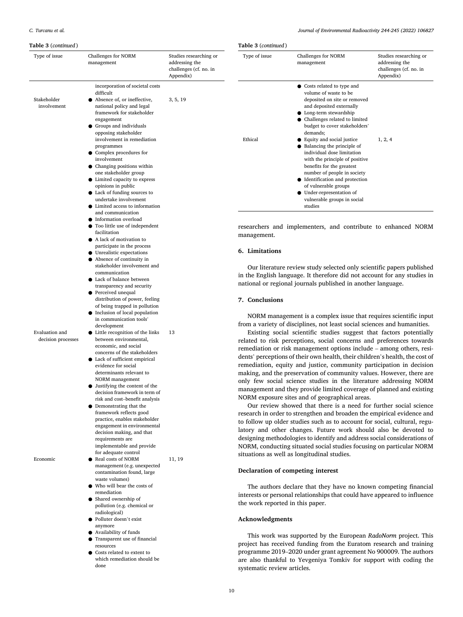Type of issue

Stakeholder involvement

#### **Table 3** (*continued* )

Studies researching or addressing the challenges (cf. no. in

| Challenges for NORM<br>management                                                                                                                                                                                                                                                                                                                                                                                                                                    | Studies researching or<br>addressing the<br>challenges (cf. no. in<br>Appendix) | Chall<br>Type of issue<br>mana                                                                                                                        |
|----------------------------------------------------------------------------------------------------------------------------------------------------------------------------------------------------------------------------------------------------------------------------------------------------------------------------------------------------------------------------------------------------------------------------------------------------------------------|---------------------------------------------------------------------------------|-------------------------------------------------------------------------------------------------------------------------------------------------------|
| incorporation of societal costs<br>difficult<br>Absence of, or ineffective,<br>national policy and legal<br>framework for stakeholder<br>engagement<br><b>•</b> Groups and individuals<br>opposing stakeholder<br>involvement in remediation<br>programmes<br>• Complex procedures for<br>involvement<br>$\bullet$ Changing positions within<br>one stakeholder group<br>$\bullet$ Limited capacity to express<br>opinions in public<br>• Lack of funding sources to | 3, 5, 19                                                                        | $\bullet$ Co<br>V <sub>C</sub><br>d<br>ar<br>$\bullet$ Lo<br>Cl<br>bι<br>dε<br>Ethical<br>Ε<br>B <sub>i</sub><br>in<br>W<br>bε<br>nı<br>Id<br>of<br>U |
| undertake involvement<br>• Limited access to information<br>and communication<br>• Information overload<br>• Too little use of independent<br>facilitation                                                                                                                                                                                                                                                                                                           |                                                                                 | Vl.<br>st<br>researchers and implement<br>management.                                                                                                 |
| A lack of motivation to<br>participate in the process<br>$\bullet$ Unrealistic expectations<br>$\bullet$ Absence of continuity in<br>stakeholder involvement and<br>communication<br>• Lack of balance between<br>transparency and security                                                                                                                                                                                                                          |                                                                                 | 6. Limitations<br>Our literature review s<br>in the English language. I<br>national or regional journ                                                 |
| • Perceived unequal<br>distribution of power, feeling<br>of being trapped in pollution<br>• Inclusion of local population<br>in communication tools'<br>development<br>Little recognition of the links                                                                                                                                                                                                                                                               | 13                                                                              | 7. Conclusions<br>NORM management is<br>from a variety of disciplir<br>Existing social scient                                                         |

lenges for NORM agement

|         |                                                                                                                                                                                                                                                                                                                                                                                                                                                                         | Appendix) |
|---------|-------------------------------------------------------------------------------------------------------------------------------------------------------------------------------------------------------------------------------------------------------------------------------------------------------------------------------------------------------------------------------------------------------------------------------------------------------------------------|-----------|
| Ethical | Costs related to type and<br>volume of waste to be<br>deposited on site or removed<br>and deposited externally<br>• Long-term stewardship<br>Challenges related to limited<br>budget to cover stakeholders'<br>demands;<br>Equity and social justice<br>Balancing the principle of<br>individual dose limitation<br>with the principle of positive<br>benefits for the greatest<br>number of people in society<br>Identification and protection<br>of vulnerable groups | 1, 2, 4   |
|         | Under-representation of<br>vulnerable groups in social<br>studies                                                                                                                                                                                                                                                                                                                                                                                                       |           |
|         |                                                                                                                                                                                                                                                                                                                                                                                                                                                                         |           |

enters, and contribute to enhanced NORM

study selected only scientific papers published It therefore did not account for any studies in nals published in another language.

a complex issue that requires scientific input hes, not least social sciences and humanities.

Existing social scientific studies suggest that factors potentially related to risk perceptions, social concerns and preferences towards remediation or risk management options include – among others, residents' perceptions of their own health, their children's health, the cost of remediation, equity and justice, community participation in decision making, and the preservation of community values. However, there are only few social science studies in the literature addressing NORM management and they provide limited coverage of planned and existing NORM exposure sites and of geographical areas.

Our review showed that there is a need for further social science research in order to strengthen and broaden the empirical evidence and to follow up older studies such as to account for social, cultural, regulatory and other changes. Future work should also be devoted to designing methodologies to identify and address social considerations of NORM, conducting situated social studies focusing on particular NORM situations as well as longitudinal studies.

#### **Declaration of competing interest**

The authors declare that they have no known competing financial interests or personal relationships that could have appeared to influence the work reported in this paper.

### **Acknowledgments**

This work was supported by the European *RadoNorm* project. This project has received funding from the Euratom research and training programme 2019–2020 under grant agreement No 900009. The authors are also thankful to Yevgeniya Tomkiv for support with coding the systematic review articles.

Evaluation and decision processes

Economic ● Real costs of NORM

11, 19

management (e.g. unexpected contamination found, large waste volumes) ● Who will bear the costs of

between environmental, economic, and social concerns of the stakeholders ● Lack of sufficient empirical evidence for social determinants relevant to NORM management ● Justifying the content of the decision framework in term of risk and cost–benefit analysis ● Demonstrating that the framework reflects good practice, enables stakeholder engagement in environmental decision making, and that requirements are implementable and provide for adequate control

- remediation Shared ownership of pollution (e.g. chemical or radiological)
- Polluter doesn't exist
- anymore Availability of funds
- Transparent use of financial resources
- Costs related to extent to which remediation should be done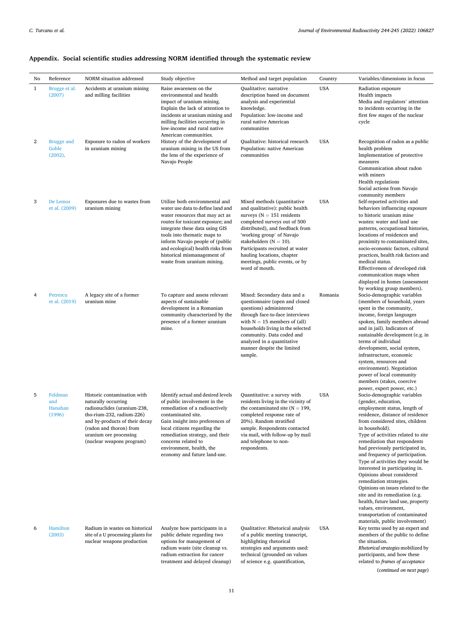| No           | Reference                             | NORM situation addressed                                                                                                                                                                                                           | Study objective                                                                                                                                                                                                                                                                                                                                   | Method and target population                                                                                                                                                                                                                                                                                                                      | Country    | Variables/dimensions in focus                                                                                                                                                                                                                                                                                                                                                                                                                                                                                                                                                                                                                                  |
|--------------|---------------------------------------|------------------------------------------------------------------------------------------------------------------------------------------------------------------------------------------------------------------------------------|---------------------------------------------------------------------------------------------------------------------------------------------------------------------------------------------------------------------------------------------------------------------------------------------------------------------------------------------------|---------------------------------------------------------------------------------------------------------------------------------------------------------------------------------------------------------------------------------------------------------------------------------------------------------------------------------------------------|------------|----------------------------------------------------------------------------------------------------------------------------------------------------------------------------------------------------------------------------------------------------------------------------------------------------------------------------------------------------------------------------------------------------------------------------------------------------------------------------------------------------------------------------------------------------------------------------------------------------------------------------------------------------------------|
| $\mathbf{1}$ | Brugge et al.<br>(2007)               | Accidents at uranium mining<br>and milling facilities                                                                                                                                                                              | Raise awareness on the<br>environmental and health<br>impact of uranium mining.<br>Explain the lack of attention to<br>incidents at uranium mining and<br>milling facilities occurring in<br>low-income and rural native<br>American communities.                                                                                                 | Qualitative: narrative<br>description based on document<br>analysis and experiential<br>knowledge.<br>Population: low-income and<br>rural native American<br>communities                                                                                                                                                                          | <b>USA</b> | Radiation exposure<br>Health impacts<br>Media and regulators' attention<br>to incidents occurring in the<br>first few stages of the nuclear<br>cycle                                                                                                                                                                                                                                                                                                                                                                                                                                                                                                           |
| 2            | <b>Brugge and</b><br>Goble<br>(2002). | Exposure to radon of workers<br>in uranium mining                                                                                                                                                                                  | History of the development of<br>uranium mining in the US from<br>the lens of the experience of<br>Navajo People                                                                                                                                                                                                                                  | Qualitative: historical research<br>Population: native American<br>communities                                                                                                                                                                                                                                                                    | <b>USA</b> | Recognition of radon as a public<br>health problem<br>Implementation of protective<br>measures<br>Communication about radon<br>with miners<br><b>Health regulations</b><br>Social actions from Navajo<br>community members                                                                                                                                                                                                                                                                                                                                                                                                                                     |
| 3            | De Lemos<br>et al. (2009)             | Exposures due to wastes from<br>uranium mining                                                                                                                                                                                     | Utilize both environmental and<br>water use data to define land and<br>water resources that may act as<br>routes for toxicant exposure; and<br>integrate these data using GIS<br>tools into thematic maps to<br>inform Navajo people of (public<br>and ecological) health risks from<br>historical mismanagement of<br>waste from uranium mining. | Mixed methods (quantitative<br>and qualitative): public health<br>surveys $(N = 151$ residents<br>completed surveys out of 500<br>distributed), and feedback from<br>'working group' of Navajo<br>stakeholders ( $N = 10$ ).<br>Participants recruited at water<br>hauling locations, chapter<br>meetings, public events, or by<br>word of mouth. | <b>USA</b> | Self-reported activities and<br>behaviors influencing exposure<br>to historic uranium mine<br>wastes: water and land use<br>patterns, occupational histories,<br>locations of residences and<br>proximity to contaminated sites,<br>socio-economic factors, cultural<br>practices, health risk factors and<br>medical status.<br>Effectiveness of developed risk<br>communication maps when<br>displayed in homes (assessment<br>by working group members).                                                                                                                                                                                                    |
| 4            | Petrescu<br>et al. (2019)             | A legacy site of a former<br>uranium mine                                                                                                                                                                                          | To capture and assess relevant<br>aspects of sustainable<br>development in a Romanian<br>community characterized by the<br>presence of a former uranium<br>mine.                                                                                                                                                                                  | Mixed: Secondary data and a<br>questionnaire (open and closed<br>questions) administered<br>through face-to-face interviews<br>with $N = 15$ members of (all)<br>households living in the selected<br>community. Data coded and<br>analyzed in a quantitative<br>manner despite the limited<br>sample.                                            | Romania    | Socio-demographic variables<br>(members of household, years<br>spent in the community,<br>income, foreign languages<br>spoken, family members abroad<br>and in jail). Indicators of<br>sustainable development (e.g. in<br>terms of individual<br>development, social system,<br>infrastructure, economic<br>system, resources and<br>environment). Negotiation<br>power of local community<br>members (stakes, coercive<br>power, expert power, etc.)                                                                                                                                                                                                         |
| 5            | Feldman<br>and<br>Hanahan<br>(1996)   | Historic contamination with<br>naturally occurring<br>radionuclides (uranium-238,<br>tho-rium-232, radium-226)<br>and by-products of their decay<br>(radon and thoron) from<br>uranium ore processing<br>(nuclear weapons program) | Identify actual and desired levels<br>of public involvement in the<br>remediation of a radioactively<br>contaminated site.<br>Gain insight into preferences of<br>local citizens regarding the<br>remediation strategy, and their<br>concerns related to<br>environment, health, the<br>economy and future land-use.                              | Quantitative: a survey with<br>residents living in the vicinity of<br>the contaminated site ( $N = 199$ ,<br>completed response rate of<br>20%). Random stratified<br>sample. Respondents contacted<br>via mail, with follow-up by mail<br>and telephone to non-<br>respondents.                                                                  | <b>USA</b> | Socio-demographic variables<br>(gender, education,<br>employment status, length of<br>residence, distance of residence<br>from considered sites, children<br>in household).<br>Type of activities related to site<br>remediation that respondents<br>had previously participated in,<br>and frequency of participation.<br>Type of activities they would be<br>interested in participating in.<br>Opinions about considered<br>remediation strategies.<br>Opinions on issues related to the<br>site and its remediation (e.g.<br>health, future land use, property<br>values, environment,<br>transportation of contaminated<br>materials, public involvement) |
| 6            | Hamilton<br>(2003)                    | Radium in wastes on historical<br>site of a U processing plants for<br>nuclear weapons production                                                                                                                                  | Analyze how participants in a<br>public debate regarding two<br>options for management of                                                                                                                                                                                                                                                         | Qualitative: Rhetorical analysis<br>of a public meeting transcript,<br>highlighting rhetorical                                                                                                                                                                                                                                                    | <b>USA</b> | Key terms used by an expert and<br>members of the public to define<br>the situation.                                                                                                                                                                                                                                                                                                                                                                                                                                                                                                                                                                           |

# **Appendix. Social scientific studies addressing NORM identified through the systematic review**

radium waste (site cleanup vs. radium extraction for cancer treatment and delayed cleanup)

strategies and arguments used: technical (grounded on values of science e.g. quantification,

*Rhetorical strategies* mobilized by participants, and how these

related to *frames of acceptance* 

(*continued on next page*)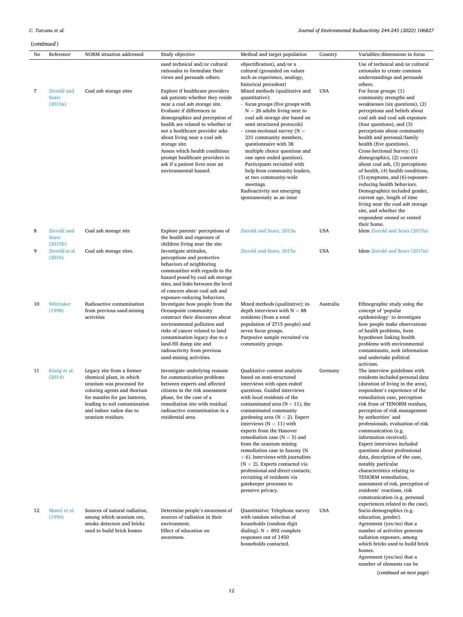Agreement (yes/no) that a number of elements can be

(*continued on next page*)

|    | (continued)                            |                                                                                                                                                                                                                                     |                                                                                                                                                                                                                                                                                                                                                                                                                            |                                                                                                                                                                                                                                                                                                                                                                                                                                                                                                                                                                                                                        |            |                                                                                                                                                                                                                                                                                                                                                                                                                                                                                                                                                                                                                                                                             |
|----|----------------------------------------|-------------------------------------------------------------------------------------------------------------------------------------------------------------------------------------------------------------------------------------|----------------------------------------------------------------------------------------------------------------------------------------------------------------------------------------------------------------------------------------------------------------------------------------------------------------------------------------------------------------------------------------------------------------------------|------------------------------------------------------------------------------------------------------------------------------------------------------------------------------------------------------------------------------------------------------------------------------------------------------------------------------------------------------------------------------------------------------------------------------------------------------------------------------------------------------------------------------------------------------------------------------------------------------------------------|------------|-----------------------------------------------------------------------------------------------------------------------------------------------------------------------------------------------------------------------------------------------------------------------------------------------------------------------------------------------------------------------------------------------------------------------------------------------------------------------------------------------------------------------------------------------------------------------------------------------------------------------------------------------------------------------------|
| No | Reference                              | NORM situation addressed                                                                                                                                                                                                            | Study objective                                                                                                                                                                                                                                                                                                                                                                                                            | Method and target population                                                                                                                                                                                                                                                                                                                                                                                                                                                                                                                                                                                           | Country    | Variables/dimensions in focus                                                                                                                                                                                                                                                                                                                                                                                                                                                                                                                                                                                                                                               |
|    |                                        |                                                                                                                                                                                                                                     | used technical and/or cultural<br>rationales to formulate their<br>views and persuade others.                                                                                                                                                                                                                                                                                                                              | objectification), and/or a<br>cultural (grounded on values<br>such as experience, analogy,<br>historical precedent)                                                                                                                                                                                                                                                                                                                                                                                                                                                                                                    |            | Use of technical and/or cultural<br>rationales to create common<br>understandings and persuade<br>others.                                                                                                                                                                                                                                                                                                                                                                                                                                                                                                                                                                   |
| 7  | Zierold and<br><b>Sears</b><br>(2015a) | Coal ash storage sites                                                                                                                                                                                                              | Explore if healthcare providers<br>ask patients whether they reside<br>near a coal ash storage site.<br>Evaluate if differences in<br>demographics and perception of<br>health are related to whether or<br>not a healthcare provider asks<br>about living near a coal ash<br>storage site.<br>Assess which health conditions<br>prompt healthcare providers to<br>ask if a patient lives near an<br>environmental hazard. | Mixed methods (qualitative and<br>quantitative):<br>- focus groups (five groups with<br>$N = 26$ adults living next to<br>coal ash storage site based on<br>semi structured protocols)<br>- cross-sectional survey $(N =$<br>231 community members,<br>questionnaire with 38<br>multiple choice questions and<br>one open ended question).<br>Participants recruited with<br>help from community leaders,<br>at two community-wide<br>meetings.<br>Radioactivity not emerging<br>spontaneously as an issue                                                                                                             | <b>USA</b> | For focus groups: (1)<br>community strengths and<br>weaknesses (six questions), $(2)$<br>perceptions and beliefs about<br>coal ash and coal ash exposure<br>(four questions), and (3)<br>perceptions about community<br>health and personal/family<br>health (five questions).<br>Cross-Sectional Survey: (1)<br>demographics, (2) concern<br>about coal ash, (3) perceptions<br>of health, (4) health conditions,<br>(5) symptoms, and (6) exposure-<br>reducing health behaviors.<br>Demographics included gender,<br>current age, length of time<br>living near the coal ash storage<br>site, and whether the<br>respondent owned or rented<br>their home.               |
| 8  | Zierold and<br><b>Sears</b><br>(2015b) | Coal ash storage site                                                                                                                                                                                                               | Explore parents' perceptions of<br>the health and exposure of<br>children living near the site                                                                                                                                                                                                                                                                                                                             | Zierold and Sears, 2015a                                                                                                                                                                                                                                                                                                                                                                                                                                                                                                                                                                                               | <b>USA</b> | <b>Idem</b> Zierold and Sears (2015a)                                                                                                                                                                                                                                                                                                                                                                                                                                                                                                                                                                                                                                       |
| 9  | Zierold et al.<br>(2016)               | Coal ash storage sites.                                                                                                                                                                                                             | Investigate attitudes,<br>perceptions and protective<br>behaviors of neighboring<br>communities with regards to the<br>hazard posed by coal ash storage<br>sites, and links between the level<br>of concern about coal ash and<br>exposure-reducing behaviors.                                                                                                                                                             | Zierold and Sears, 2015a                                                                                                                                                                                                                                                                                                                                                                                                                                                                                                                                                                                               | USA        | <b>Idem</b> Zierold and Sears (2015a)                                                                                                                                                                                                                                                                                                                                                                                                                                                                                                                                                                                                                                       |
| 10 | Whittaker<br>(1998)                    | Radioactive contamination<br>from previous sand-mining<br>activities                                                                                                                                                                | Investigate how people from the<br>Oceanpoint community<br>construct their discourses about<br>environmental pollution and<br>risks of cancer related to land<br>contamination legacy due to a<br>land-fill dump site and<br>radioactivity from previous<br>sand-mining activities.                                                                                                                                        | Mixed methods (qualitative): in-<br>depth interviews with $N = 88$<br>residents (from a total<br>population of 2715 people) and<br>seven focus groups.<br>Purposive sample recruited via<br>community groups.                                                                                                                                                                                                                                                                                                                                                                                                          | Australia  | Ethnographic study using the<br>concept of 'popular<br>epidemiology' to investigate<br>how people make observations<br>of health problems, form<br>hypotheses linking health<br>problems with environmental<br>contaminants, seek information<br>and undertake political<br>activism.                                                                                                                                                                                                                                                                                                                                                                                       |
| 11 | König et al.<br>(2014)                 | Legacy site from a former<br>chemical plant, in which<br>uranium was processed for<br>coloring agents and thorium<br>for mantles for gas lanterns,<br>leading to soil contamination<br>and indoor radon due to<br>uranium residues. | Investigate underlying reasons<br>for communication problems<br>between experts and affected<br>citizens in the risk assessment<br>phase, for the case of a<br>remediation site with residual<br>radioactive contamination in a<br>residential area.                                                                                                                                                                       | Qualitative content analysis<br>based on semi-structured<br>interviews with open ended<br>questions. Guided interviews<br>with local residents of the<br>contaminated area $(N = 11)$ , the<br>contaminated community<br>gardening area ( $N = 2$ ). Expert<br>interviews $(N = 11)$ with<br>experts from the Hanover<br>remediation case ( $N = 5$ ) and<br>from the uranium mining<br>remediation case in Saxony (N<br>$= 6$ ). Interviews with journalists<br>$(N = 2)$ . Experts contacted via<br>professional and direct contacts;<br>recruiting of residents via<br>gatekeeper processes to<br>preserve privacy. | Germany    | The interview guidelines with<br>residents included personal data<br>(duration of living in the area),<br>respondent's experience of the<br>remediation case, perception<br>risk from of TENORM residues,<br>perception of risk management<br>by authorities' and<br>professionals, evaluation of risk<br>communication (e.g.<br>information received).<br>Expert interviews included<br>questions about professional<br>data, description of the case,<br>notably particular<br>characteristics relating to<br>TENORM remediation,<br>assessment of risk, perception of<br>residents' reactions, risk<br>communication (e.g. personal<br>experiences related to the case). |
| 12 | Mancl et al.<br>(1994)                 | Sources of natural radiation,<br>among which uranium ore,<br>smoke detectors and bricks<br>used to build brick homes                                                                                                                | Determine people's awareness of<br>sources of radiation in their<br>environment.<br>Effect of education on<br>awareness.                                                                                                                                                                                                                                                                                                   | Quantitative: Telephone survey<br>with random selection of<br>households (random digit<br>dialing). $N = 892$ complete<br>responses out of 1450<br>households contacted.                                                                                                                                                                                                                                                                                                                                                                                                                                               | <b>USA</b> | Socio-demographics (e.g.<br>education, gender).<br>Agreement (yes/no) that a<br>number of activities generate<br>radiation exposure, among<br>which bricks used to build brick<br>homes.                                                                                                                                                                                                                                                                                                                                                                                                                                                                                    |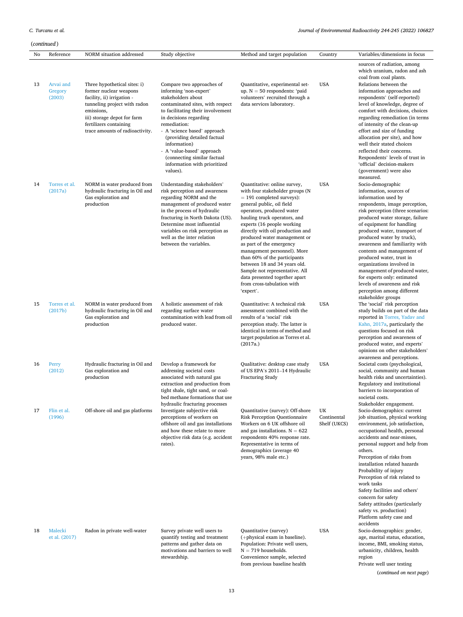|    | (continued)                    |                                                                                                                                                                                                                                |                                                                                                                                                                                                                                                                                                                                                                                      |                                                                                                                                                                                                                                                                                                                                                                                                                                                                                                                                     |                                   |                                                                                                                                                                                                                                                                                                                                                                                                                                                                                                                                                      |  |
|----|--------------------------------|--------------------------------------------------------------------------------------------------------------------------------------------------------------------------------------------------------------------------------|--------------------------------------------------------------------------------------------------------------------------------------------------------------------------------------------------------------------------------------------------------------------------------------------------------------------------------------------------------------------------------------|-------------------------------------------------------------------------------------------------------------------------------------------------------------------------------------------------------------------------------------------------------------------------------------------------------------------------------------------------------------------------------------------------------------------------------------------------------------------------------------------------------------------------------------|-----------------------------------|------------------------------------------------------------------------------------------------------------------------------------------------------------------------------------------------------------------------------------------------------------------------------------------------------------------------------------------------------------------------------------------------------------------------------------------------------------------------------------------------------------------------------------------------------|--|
| No | Reference                      | NORM situation addressed                                                                                                                                                                                                       | Study objective                                                                                                                                                                                                                                                                                                                                                                      | Method and target population                                                                                                                                                                                                                                                                                                                                                                                                                                                                                                        | Country                           | Variables/dimensions in focus                                                                                                                                                                                                                                                                                                                                                                                                                                                                                                                        |  |
| 13 | Arvai and<br>Gregory<br>(2003) | Three hypothetical sites: i)<br>former nuclear weapons<br>facility, ii) irrigation -<br>tunneling project with radon<br>emissions,<br>iii) storage depot for farm<br>fertilizers containing<br>trace amounts of radioactivity. | Compare two approaches of<br>informing 'non-expert'<br>stakeholders about<br>contaminated sites, with respect<br>to facilitating their involvement<br>in decisions regarding<br>remediation:<br>- A 'science based' approach<br>(providing detailed factual<br>information)<br>- A 'value-based' approach<br>(connecting similar factual<br>information with prioritized<br>values). | Quantitative, experimental set-<br>up. $N = 50$ respondents: 'paid<br>volunteers' recruited through a<br>data services laboratory.                                                                                                                                                                                                                                                                                                                                                                                                  | <b>USA</b>                        | sources of radiation, among<br>which uranium, radon and ash<br>coal from coal plants.<br>Relations between the<br>information approaches and<br>respondents' (self-reported)<br>level of knowledge, degree of<br>comfort with decisions, choices<br>regarding remediation (in terms<br>of intensity of the clean-up<br>effort and size of funding<br>allocation per site), and how<br>well their stated choices<br>reflected their concerns.<br>Respondents' levels of trust in<br>'official' decision-makers<br>(government) were also<br>measured. |  |
| 14 | Torres et al.<br>(2017a)       | NORM in water produced from<br>hydraulic fracturing in Oil and<br>Gas exploration and<br>production                                                                                                                            | Understanding stakeholders'<br>risk perception and awareness<br>regarding NORM and the<br>management of produced water<br>in the process of hydraulic<br>fracturing in North Dakota (US).<br>Determine most influential<br>variables on risk perception as<br>well as the inter relation<br>between the variables.                                                                   | Quantitative: online survey,<br>with four stakeholder groups (N<br>$= 191$ completed surveys):<br>general public, oil field<br>operators, produced water<br>hauling truck operators, and<br>experts (16 people working<br>directly with oil production and<br>produced water management or<br>as part of the emergency<br>management personnel). More<br>than 60% of the participants<br>between 18 and 34 years old.<br>Sample not representative. All<br>data presented together apart<br>from cross-tabulation with<br>'expert'. | <b>USA</b>                        | Socio-demographic<br>information, sources of<br>information used by<br>respondents, image perception,<br>risk perception (three scenarios:<br>produced water storage, failure<br>of equipment for handling<br>produced water, transport of<br>produced water by truck),<br>awareness and familiarity with<br>contents and management of<br>produced water, trust in<br>organizations involved in<br>management of produced water,<br>for experts only: estimated<br>levels of awareness and risk<br>perception among different<br>stakeholder groups |  |
| 15 | Torres et al.<br>(2017b)       | NORM in water produced from<br>hydraulic fracturing in Oil and<br>Gas exploration and<br>production                                                                                                                            | A holistic assessment of risk<br>regarding surface water<br>contamination with lead from oil<br>produced water.                                                                                                                                                                                                                                                                      | Quantitative: A technical risk<br>assessment combined with the<br>results of a 'social' risk<br>perception study. The latter is<br>identical in terms of method and<br>target population as Torres et al.<br>(2017a.)                                                                                                                                                                                                                                                                                                               | <b>USA</b>                        | The 'social' risk perception<br>study builds on part of the data<br>reported in Torres, Yadav and<br>Kahn, 2017a, particularly the<br>questions focused on risk<br>perception and awareness of<br>produced water, and experts'<br>opinions on other stakeholders'<br>awareness and perceptions.                                                                                                                                                                                                                                                      |  |
| 16 | Perry<br>(2012)                | Hydraulic fracturing in Oil and<br>Gas exploration and<br>production                                                                                                                                                           | Develop a framework for<br>addressing societal costs<br>associated with natural gas<br>extraction and production from<br>tight shale, tight sand, or coal-<br>bed methane formations that use<br>hydraulic fracturing processes                                                                                                                                                      | Qualitative: desktop case study<br>of US EPA's 2011-14 Hydraulic<br><b>Fracturing Study</b>                                                                                                                                                                                                                                                                                                                                                                                                                                         | <b>USA</b>                        | Societal costs (psychological,<br>social, community and human<br>health risks and uncertainties).<br>Regulatory and institutional<br>barriers to incorporation of<br>societal costs.<br>Stakeholder engagement.                                                                                                                                                                                                                                                                                                                                      |  |
| 17 | Flin et al.<br>(1996)          | Off-shore oil and gas platforms                                                                                                                                                                                                | Investigate subjective risk<br>perceptions of workers on<br>offshore oil and gas installations<br>and how these relate to more<br>objective risk data (e.g. accident<br>rates).                                                                                                                                                                                                      | Quantitative (survey): Off-shore<br><b>Risk Perception Questionnaire</b><br>Workers on 6 UK offshore oil<br>and gas installations. $N = 622$<br>respondents 40% response rate.<br>Representative in terms of<br>demographics (average 40<br>years, 98% male etc.)                                                                                                                                                                                                                                                                   | UK<br>Continental<br>Shelf (UKCS) | Socio-demographics: current<br>job situation, physical working<br>environment, job satisfaction,<br>occupational health, personal<br>accidents and near-misses,<br>personal support and help from<br>others.<br>Perception of risks from<br>installation related hazards<br>Probability of injury<br>Perception of risk related to<br>work tasks<br>Safety facilities and others'<br>concern for safety<br>Safety attitudes (particularly<br>safety vs. production)<br>Platform safety case and<br>accidents                                         |  |
| 18 | Malecki<br>et al. (2017)       | Radon in private well-water                                                                                                                                                                                                    | Survey private well users to<br>quantify testing and treatment<br>patterns and gather data on<br>motivations and barriers to well<br>stewardship.                                                                                                                                                                                                                                    | Quantitative (survey)<br>(+physical exam in baseline).<br>Population: Private well users,<br>$N = 719$ households.<br>Convenience sample, selected                                                                                                                                                                                                                                                                                                                                                                                  | <b>USA</b>                        | Socio-demographics: gender,<br>age, marital status, education,<br>income, BMI, smoking status,<br>urbanicity, children, health<br>region                                                                                                                                                                                                                                                                                                                                                                                                             |  |

Private well user testing

(*continued on next page*)

from previous baseline health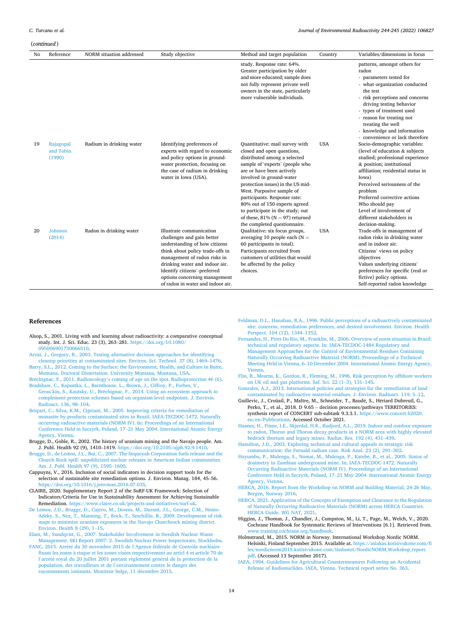#### <span id="page-13-0"></span>(*continued* )

| No | Reference                        | NORM situation addressed | Study objective                                                                                                                                                                                                                                                                                     | Method and target population                                                                                                                                                                                                                                                                                                                                                                                                          | Country    | Variables/dimensions in focus                                                                                                                                                                                                                                                                                                                           |
|----|----------------------------------|--------------------------|-----------------------------------------------------------------------------------------------------------------------------------------------------------------------------------------------------------------------------------------------------------------------------------------------------|---------------------------------------------------------------------------------------------------------------------------------------------------------------------------------------------------------------------------------------------------------------------------------------------------------------------------------------------------------------------------------------------------------------------------------------|------------|---------------------------------------------------------------------------------------------------------------------------------------------------------------------------------------------------------------------------------------------------------------------------------------------------------------------------------------------------------|
|    |                                  |                          |                                                                                                                                                                                                                                                                                                     | study. Response rate: 64%.<br>Greater participation by older<br>and more educated; sample does<br>not fully represent private well<br>owners in the state, particularly<br>more vulnerable individuals.                                                                                                                                                                                                                               |            | patterns, amongst others for<br>radon<br>- parameters tested for<br>- what organization conducted<br>the test<br>- risk perceptions and concerns<br>driving testing behavior<br>- types of treatment used<br>- reason for treating not<br>treating the well<br>- knowledge and information<br>- convenience or lack therefore                           |
| 19 | Rajagopal<br>and Tobin<br>(1990) | Radium in drinking water | Identifying preferences of<br>experts with regard to economic<br>and policy options in ground-<br>water protection, focusing on<br>the case of radium in drinking<br>water in Iowa (USA).                                                                                                           | Quantitative: mail survey with<br>closed and open questions,<br>distributed among a selected<br>sample of 'experts' (people who<br>are or have been actively<br>involved in ground-water<br>protection issues) in the US mid-<br>West. Purposive sample of<br>participants. Response rate:<br>80% out of 150 experts agreed<br>to participate in the study; out<br>of these, $81\%$ (N = 97) returned<br>the completed questionnaire. | <b>USA</b> | Socio-demographic variables:<br>(level of education & subjects<br>studied; professional experience<br>& position; institutional<br>affiliation; residential status in<br>Iowa)<br>Perceived seriousness of the<br>problem<br>Preferred corrective actions<br>Who should pay<br>Level of involvement of<br>different stakeholders in<br>decision-making. |
| 20 | Johnson<br>(2014)                | Radon in drinking water  | Illustrate communication<br>challenges and gain better<br>understanding of how citizens<br>think about policy trade-offs in<br>management of radon risks in<br>drinking water and indoor air.<br>Identify citizens'-preferred<br>options concerning management<br>of radon in water and indoor air. | Qualitative: six focus groups,<br>averaging 10 people each ( $N =$<br>60 participants in total).<br>Participants recruited from<br>customers of utilities that would<br>be affected by the policy<br>choices.                                                                                                                                                                                                                         | <b>USA</b> | Trade-offs in management of<br>radon risks in drinking water<br>and in indoor air.<br>Citizens' views on policy<br>objectives<br>Values underlying citizens'<br>preferences for specific (real or<br>fictive) policy options.<br>Self-reported radon knowledge                                                                                          |

#### **References**

- Alsop, S., 2001. Living with and learning about radioactivity: a comparative conceptual study. Int. J. Sci. Educ. 23 (3), 263–281. [https://doi.org/10.1080/](https://doi.org/10.1080/095006901750066510)  [095006901750066510](https://doi.org/10.1080/095006901750066510).
- [Arvai, J., Gregory, R., 2003. Testing alternative decision approaches for identifying](http://refhub.elsevier.com/S0265-931X(22)00017-0/sref2)  [cleanup priorities at contaminated sites. Environ. Sci. Technol. 37 \(8\), 1469](http://refhub.elsevier.com/S0265-931X(22)00017-0/sref2)–1476. [Barry, S.L., 2012. Coming to the Surface: the Environment, Health, and Culture in Butte,](http://refhub.elsevier.com/S0265-931X(22)00017-0/sref3)
- [Montana. Doctoral Dissertation. University Montana, Montana, USA](http://refhub.elsevier.com/S0265-931X(22)00017-0/sref3). Bréchignac, F., 2011. Radioecology'[s coming of age on the spot. Radioprotection 46 \(6\).](http://refhub.elsevier.com/S0265-931X(22)00017-0/sref4)
- [Bradshaw, C., Kapustka, L., Barnthouse, L., Brown, J., Ciffroy, P., Forbes, V.,](http://refhub.elsevier.com/S0265-931X(22)00017-0/sref5)  Geras'kin, S., Kautsky, U., Bréchignac, F., 2014. Using an ecosystem approach to [complement protection schemes based on organism-level endpoints. J. Environ.](http://refhub.elsevier.com/S0265-931X(22)00017-0/sref5)  [Radioact. 136, 98](http://refhub.elsevier.com/S0265-931X(22)00017-0/sref5)–104.
- [Briquet, C., Silva, K.M., Cipriani, M., 2005. Improving criteria for remediation of](http://refhub.elsevier.com/S0265-931X(22)00017-0/sref6)  [monazite by-products contaminated sites in Brazil. IAEA-TECDOC-1472. Naturally](http://refhub.elsevier.com/S0265-931X(22)00017-0/sref6) [occurring radioactive materials \(NORM IV\). In: Proceedings of an International](http://refhub.elsevier.com/S0265-931X(22)00017-0/sref6)  Conference Held in Szczyrk, Poland, 17–[21 May 2004. International Atomic Energy](http://refhub.elsevier.com/S0265-931X(22)00017-0/sref6)  [Agency, Vienna.](http://refhub.elsevier.com/S0265-931X(22)00017-0/sref6)
- Brugge, D., Goble, R., 2002. The history of uranium mining and the Navajo people. Am. J. Publ. Health 92 (9), 1410–1419. <https://doi.org/10.2105/ajph.92.9.1410>.
- [Brugge, D., de Lemos, J.L., Bui, C., 2007. The Sequoyah Corporation fuels release and the](http://refhub.elsevier.com/S0265-931X(22)00017-0/sref8)  [Church Rock spill: unpublicized nuclear releases in American Indian communities.](http://refhub.elsevier.com/S0265-931X(22)00017-0/sref8)  [Am. J. Publ. Health 97 \(9\), 1595](http://refhub.elsevier.com/S0265-931X(22)00017-0/sref8)–1600.
- Cappuyns, V., 2016. Inclusion of social indicators in decision support tools for the selection of sustainable site remediation options. J. Environ. Manag. 184, 45–56. [https://doi.org/10.1016/j.jenvman.2016.07.035.](https://doi.org/10.1016/j.jenvman.2016.07.035)
- CLAIRE, 2020. Supplementary Report 2 of the SuRF-UK Framework: Selection of Indicators/Criteria for Use in Sustainability Assessment for Achieving Sustainable Remediation. [https://www.claire.co.uk/projects-and-initiatives/surf-uk.](https://www.claire.co.uk/projects-and-initiatives/surf-uk)
- [De Lemos, J.D., Brugge, D., Cajero, M., Downs, M., Durant, J.L., George, C.M., Henio-](http://refhub.elsevier.com/S0265-931X(22)00017-0/sref12)[Adeky, S., Nez, T., Manning, T., Rock, T., Seschillie, B., 2009. Development of risk](http://refhub.elsevier.com/S0265-931X(22)00017-0/sref12)  [maps to minimize uranium exposures in the Navajo Churchrock mining district.](http://refhub.elsevier.com/S0265-931X(22)00017-0/sref12)  [Environ. Health 8 \(29\), 1](http://refhub.elsevier.com/S0265-931X(22)00017-0/sref12)–15.
- [Elam, M., Sundqvist, G., 2007. Stakeholder Involvement in Swedish Nuclear Waste](http://refhub.elsevier.com/S0265-931X(22)00017-0/sref13) [Management. SKI Report 2007: 2. Swedish Nuclear Power Inspectorate, Stockholm.](http://refhub.elsevier.com/S0265-931X(22)00017-0/sref13)
- FANC, 2015. Arrêté du 30 novembre 2015 de l'Agence fédérale de Contrôle nucléaire fixant les zones à risque et les zones visées respectivement au articl 4 et article 70 de l'arrêté royal du 20 juillet 2001 portant règlement général de la protection de la population, des travailleurs et de l'[environnement contre le danger des](http://refhub.elsevier.com/S0265-931X(22)00017-0/sref14)  [rayonnements ionisants. Moniteur belge, 11 d](http://refhub.elsevier.com/S0265-931X(22)00017-0/sref14)écembre 2015.
- [Feldman, D.L., Hanahan, R.A., 1996. Public perceptions of a radioactively contaminated](http://refhub.elsevier.com/S0265-931X(22)00017-0/sref15)  [site: concerns, remediation preferences, and desired involvement. Environ. Health](http://refhub.elsevier.com/S0265-931X(22)00017-0/sref15) [Perspect. 104 \(12\), 1344](http://refhub.elsevier.com/S0265-931X(22)00017-0/sref15)–1352.
- [Fernandes, H., Pires Do Rio, M., Franklin, M., 2006. Overview of norm situation in Brazil:](http://refhub.elsevier.com/S0265-931X(22)00017-0/sref16)  [technical and regulatory aspects. In: IAEA-TECDOC-1484 Regulatory and](http://refhub.elsevier.com/S0265-931X(22)00017-0/sref16)  [Management Approaches for the Control of Environmental Residues Containing](http://refhub.elsevier.com/S0265-931X(22)00017-0/sref16)  [Naturally Occurring Radioactive Material \(NORM\). Proceedings of a Technical](http://refhub.elsevier.com/S0265-931X(22)00017-0/sref16)  Meeting Held in Vienna, 6–[10 December 2004. International Atomic Energy Agency,](http://refhub.elsevier.com/S0265-931X(22)00017-0/sref16)  [Vienna](http://refhub.elsevier.com/S0265-931X(22)00017-0/sref16).
- [Flin, R., Mearns, K., Gordon, R., Fleming, M., 1996. Risk perception by offshore workers](http://refhub.elsevier.com/S0265-931X(22)00017-0/sref17)  [on UK oil and gas platforms. Saf. Sci. 22 \(1](http://refhub.elsevier.com/S0265-931X(22)00017-0/sref17)–3), 131–145.

[Gonzales, A.J., 2013. International policies and strategies for the remediation of land](http://refhub.elsevier.com/S0265-931X(22)00017-0/sref18) [contaminated by radioactive material residues. J. Environ. Radioact. 119, 5](http://refhub.elsevier.com/S0265-931X(22)00017-0/sref18)–12.

- Guillevic, J., Croüail, P., Maître, M., Schneider, T., Baudé, S., Hériard Dubreuil, G., Perko, T., et al., 2018. D 9.65 – decision processes/pathways TERRITORIES: synthesis report of CONCERT sub-subtask 9.3.3.1. [https://www.concert-h2020.](https://www.concert-h2020.eu/en/Publications) [eu/en/Publications.](https://www.concert-h2020.eu/en/Publications) Accessed October 2021.
- [Haanes, H., Finne, I.E., Skjerdal, H.K., Rudjord, A.L., 2019. Indoor and outdoor exposure](http://refhub.elsevier.com/S0265-931X(22)00017-0/sref20)  [to radon, Thoron and Thoron decay products in a NORM area with highly elevated](http://refhub.elsevier.com/S0265-931X(22)00017-0/sref20)  [bedrock thorium and legacy mines. Radiat. Res. 192 \(4\), 431](http://refhub.elsevier.com/S0265-931X(22)00017-0/sref20)–439.
- [Hamilton, J.D., 2003. Exploring technical and cultural appeals in strategic risk](http://refhub.elsevier.com/S0265-931X(22)00017-0/sref21) [communication: the Fernald radium case. Risk Anal. 23 \(2\), 291](http://refhub.elsevier.com/S0265-931X(22)00017-0/sref21)–302.
- [Hayumbu, P., Mulenga, S., Nomai, M., Mulenga, P., Katebe, R., et al., 2005. Status of](http://refhub.elsevier.com/S0265-931X(22)00017-0/sref22)  dosimetry in Zambian underground mine. In: IAEA-TECDOC-1472. Naturally [Occurring Radioactive Materials \(NORM IV\). Proceedings of an International](http://refhub.elsevier.com/S0265-931X(22)00017-0/sref22)  Conference Held in Szczyrk, Poland, 17–[21 May 2004. International Atomic Energy](http://refhub.elsevier.com/S0265-931X(22)00017-0/sref22)  [Agency, Vienna.](http://refhub.elsevier.com/S0265-931X(22)00017-0/sref22)
- [HERCA, 2016. Report from the Workshop on NORM and Building Material, 24-26 May,](http://refhub.elsevier.com/S0265-931X(22)00017-0/sref23)  [Bergen, Norway 2016.](http://refhub.elsevier.com/S0265-931X(22)00017-0/sref23)
- [HERCA, 2021. Application of the Concepts of Exemption and Clearance to the Regulation](http://refhub.elsevier.com/S0265-931X(22)00017-0/sref24)  [of Naturally Occurring Radioactive Materials \(NORM\) across HERCA Countries.](http://refhub.elsevier.com/S0265-931X(22)00017-0/sref24)  [HERCA Guide. WG NAT, 2021.](http://refhub.elsevier.com/S0265-931X(22)00017-0/sref24)
- Higgins, J., Thomas, J., Chandler, J., Cumpston, M., Li, T., Page, M., Welch, V., 2020. Cochrane Handbook for Systematic Reviews of Interventions [6.1]. Retrieved from. [www.training.cochrane.org/handbook](http://www.training.cochrane.org/handbook).

Holmstrand, M., 2015. NORM in Norway. International Workshop Nordic NORM. Helsinki, Finland September 2015. Available at. [https://asiakas.kotisivukone.com/fi](https://asiakas.kotisivukone.com/files/nordicnorm2015.kotisivukone.com/tiedostot/NordicNORM_Workshop_report.pdf)  [les/nordicnorm2015.kotisivukone.com/tiedostot/NordicNORM\\_Workshop\\_report.](https://asiakas.kotisivukone.com/files/nordicnorm2015.kotisivukone.com/tiedostot/NordicNORM_Workshop_report.pdf)  [pdf.](https://asiakas.kotisivukone.com/files/nordicnorm2015.kotisivukone.com/tiedostot/NordicNORM_Workshop_report.pdf) (Accessed 13 September 2017).

[IAEA, 1994. Guidelines for Agricultural Countermeasures Following an Accidental](http://refhub.elsevier.com/S0265-931X(22)00017-0/sref27) [Release of Radionuclides. IAEA, Vienna. Technical report series No. 363.](http://refhub.elsevier.com/S0265-931X(22)00017-0/sref27)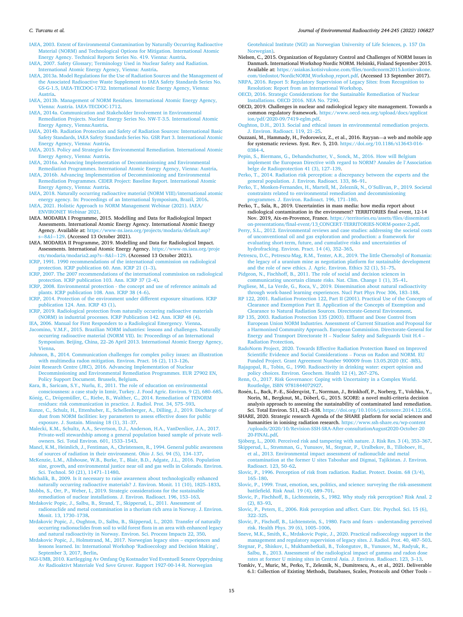#### <span id="page-14-0"></span>*C. Turcanu et al.*

[IAEA, 2003. Extent of Environmental Contamination by Naturally Occurring Radioactive](http://refhub.elsevier.com/S0265-931X(22)00017-0/sref28)  [Material \(NORM\) and Technological Options for Mitigation. International Atomic](http://refhub.elsevier.com/S0265-931X(22)00017-0/sref28) [Energy Agency. Technical Reports Series No. 419. Vienna: Austria](http://refhub.elsevier.com/S0265-931X(22)00017-0/sref28).

[IAEA, 2007. Safety Glossary; Terminology Used in Nuclear Safety and Radiation.](http://refhub.elsevier.com/S0265-931X(22)00017-0/sref29) [International Atomic Energy Agency, Vienna: Austria](http://refhub.elsevier.com/S0265-931X(22)00017-0/sref29).

- [IAEA, 2013a. Model Regulations for the Use of Radiation Sources and the Management of](http://refhub.elsevier.com/S0265-931X(22)00017-0/sref30)  [the Associated Radioactive Waste Supplement to IAEA Safety Standards Series No.](http://refhub.elsevier.com/S0265-931X(22)00017-0/sref30)  [GS-G-1.5, IAEA-TECDOC-1732. International Atomic Energy Agency, Vienna:](http://refhub.elsevier.com/S0265-931X(22)00017-0/sref30) [Austria.](http://refhub.elsevier.com/S0265-931X(22)00017-0/sref30)
- [IAEA, 2013b. Management of NORM Residues. International Atomic Energy Agency,](http://refhub.elsevier.com/S0265-931X(22)00017-0/sref31) [Vienna: Austria. IAEA-TECDOC-1712.](http://refhub.elsevier.com/S0265-931X(22)00017-0/sref31)
- [IAEA, 2014a. Communication and Stakeholder Involvement in Environmental](http://refhub.elsevier.com/S0265-931X(22)00017-0/sref32) [Remediation Projects. Nuclear Energy Series No. NW-T-3.5. International Atomic](http://refhub.elsevier.com/S0265-931X(22)00017-0/sref32)  [Energy Agency, Vienna:Austria.](http://refhub.elsevier.com/S0265-931X(22)00017-0/sref32)
- [IAEA, 2014b. Radiation Protection and Safety of Radiation Sources: International Basic](http://refhub.elsevier.com/S0265-931X(22)00017-0/sref33) [Safety Standards, IAEA Safety Standards Series No. GSR Part 3. International Atomic](http://refhub.elsevier.com/S0265-931X(22)00017-0/sref33)  [Energy Agency, Vienna: Austria.](http://refhub.elsevier.com/S0265-931X(22)00017-0/sref33)
- [IAEA, 2015. Policy and Strategies for Environmental Remediation. International Atomic](http://refhub.elsevier.com/S0265-931X(22)00017-0/sref34)  [Energy Agency, Vienna: Austria.](http://refhub.elsevier.com/S0265-931X(22)00017-0/sref34)
- [IAEA, 2016a. Advancing Implementation of Decommissioning and Environmental](http://refhub.elsevier.com/S0265-931X(22)00017-0/sref36) [Remediation Programmes. International Atomic Energy Agency, Vienna: Austria](http://refhub.elsevier.com/S0265-931X(22)00017-0/sref36).
- [IAEA, 2016b. Advancing Implementation of Decommissioning and Environmental](http://refhub.elsevier.com/S0265-931X(22)00017-0/sref37)  [Remediation Programmes. CIDER Project: Baseline Report. International Atomic](http://refhub.elsevier.com/S0265-931X(22)00017-0/sref37) [Energy Agency, Vienna: Austria.](http://refhub.elsevier.com/S0265-931X(22)00017-0/sref37)
- [IAEA, 2018. Naturally occurring radioactive material \(NORM VIII\)/international atomic](http://refhub.elsevier.com/S0265-931X(22)00017-0/sref38)  [energy agency. In: Proceedings of an International Symposium, Brazil, 2016.](http://refhub.elsevier.com/S0265-931X(22)00017-0/sref38)
- [IAEA, 2021. Holistic Approach to NORM Management Webinar \(2021\). IAEA/](http://refhub.elsevier.com/S0265-931X(22)00017-0/sref40) [ENVIRONET Webinar 2021.](http://refhub.elsevier.com/S0265-931X(22)00017-0/sref40)
- IAEA. MODARIA I Programme, 2015. Modelling and Data for Radiological Impact Assessments. International Atomic Energy Agency. International Atomic Energy Agency. Available at: [https://www-ns.iaea.org/projects/modaria/default.asp?](https://www-ns.iaea.org/projects/modaria/default.asp?s=8&l=129)   $=8\&1=129$  $=8\&1=129$ . (Accessed 13 October 2021).
- IAEA. MODARIA II Programme, 2019. Modelling and Data for Radiological Impact. Assessments. International Atomic Energy Agency. [https://www-ns.iaea.org/proje](https://www-ns.iaea.org/projects/modaria/modaria2.asp?s=8&l=129)  [cts/modaria/modaria2.asp?s](https://www-ns.iaea.org/projects/modaria/modaria2.asp?s=8&l=129)=8&l=129. (Accessed 13 October 2021).
- [ICRP, 1991. 1990 recommendations of the international commission on radiological](http://refhub.elsevier.com/S0265-931X(22)00017-0/sref41) [protection. ICRP publication 60. Ann. ICRP 21 \(1](http://refhub.elsevier.com/S0265-931X(22)00017-0/sref41)–3).
- [ICRP, 2007. The 2007 recommendations of the international commission on radiological](http://refhub.elsevier.com/S0265-931X(22)00017-0/sref42)  [protection. ICRP publication 103. Ann. ICRP 37 \(2](http://refhub.elsevier.com/S0265-931X(22)00017-0/sref42)–4).
- [ICRP, 2008. Environmental protection the concept and use of reference animals ad](http://refhub.elsevier.com/S0265-931X(22)00017-0/sref43)  [plants. ICRP publication 108. Ann. ICRP 38 \(4](http://refhub.elsevier.com/S0265-931X(22)00017-0/sref43)–6).
- [ICRP, 2014. Protection of the environment under different exposure situations. ICRP](http://refhub.elsevier.com/S0265-931X(22)00017-0/sref44) [publication 124. Ann. ICRP 43 \(1\).](http://refhub.elsevier.com/S0265-931X(22)00017-0/sref44)
- [ICRP, 2019. Radiological protection from naturally occurring radioactive materials](http://refhub.elsevier.com/S0265-931X(22)00017-0/sref45) [\(NORM\) in industrial processes. ICRP Publication 142. Ann. ICRP 48 \(4\).](http://refhub.elsevier.com/S0265-931X(22)00017-0/sref45) [IEA, 2006. Manual for First Responders to a Radiological Emergency. Vienna.](http://refhub.elsevier.com/S0265-931X(22)00017-0/sref46)
- [Jacomino, V.M.F., 2015. Brazilian NORM industries: lessons and challenges. Naturally](http://refhub.elsevier.com/S0265-931X(22)00017-0/sref47)  [occurring radioactive material \(NORM VII\). In: Proceedings of an International](http://refhub.elsevier.com/S0265-931X(22)00017-0/sref47) Symposium. Beijing, China, 22–[26 April 2013. International Atomic Energy Agency,](http://refhub.elsevier.com/S0265-931X(22)00017-0/sref47)  [Vienna](http://refhub.elsevier.com/S0265-931X(22)00017-0/sref47).
- [Johnson, B., 2014. Communication challenges for complex policy issues: an illustration](http://refhub.elsevier.com/S0265-931X(22)00017-0/sref48)  [with multimedia radon mitigation. Environ. Pract. 16 \(2\), 113](http://refhub.elsevier.com/S0265-931X(22)00017-0/sref48)–126.
- [Joint Research Centre \(JRC\), 2016. Advancing Implementation of Nuclear](http://refhub.elsevier.com/S0265-931X(22)00017-0/sref49) [Decommissioning and Environmental Remediation Programmes. EUR 27902 EN,](http://refhub.elsevier.com/S0265-931X(22)00017-0/sref49)  [Policy Support Document. Brussels, Belgium.](http://refhub.elsevier.com/S0265-931X(22)00017-0/sref49)
- [Kara, B., Saricam, S.Y., Nurlu, E., 2011. The role of education on environmental](http://refhub.elsevier.com/S0265-931X(22)00017-0/sref50)
- [consciousness: a case study in Izmir, Turkey. J. Food Agric. Environ. 9 \(2\), 680](http://refhub.elsevier.com/S0265-931X(22)00017-0/sref50)–685.<br>König, C., Drögemüller, [C., Riebe, B., Walther, C., 2014. Remediation of TENORM](http://refhub.elsevier.com/S0265-931X(22)00017-0/sref51) [residues: risk communication in practice. J. Radiol. Prot. 34, 575](http://refhub.elsevier.com/S0265-931X(22)00017-0/sref51)–593.
- [Kunze, C., Schulz, H., Ettenhuber, E., Schellenberger, A., Dilling, J., 2019. Discharge of](http://refhub.elsevier.com/S0265-931X(22)00017-0/sref52)  [dust from NORM facilities: key parameters to assess effective doses for public](http://refhub.elsevier.com/S0265-931X(22)00017-0/sref52) [exposure. J. Sustain. Minning 18 \(1\), 31](http://refhub.elsevier.com/S0265-931X(22)00017-0/sref52)–37.
- [Malecki, K.M., Schultz, A.A., Severtson, D.J., Anderson, H.A., VanDerslice, J.A., 2017.](http://refhub.elsevier.com/S0265-931X(22)00017-0/sref53) [Private-well stewardship among a general population based sample of private well](http://refhub.elsevier.com/S0265-931X(22)00017-0/sref53)[owners. Sci. Total Environ. 601, 1533](http://refhub.elsevier.com/S0265-931X(22)00017-0/sref53)–1543.
- [Mancl, K.M., Heimlich, J., Fentiman, A., Christensen, R., 1994. General public awareness](http://refhub.elsevier.com/S0265-931X(22)00017-0/sref54)  [of sources of radiation in their environment. Ohio J. Sci. 94 \(5\), 134](http://refhub.elsevier.com/S0265-931X(22)00017-0/sref54)–137.
- [McKenzie, L.M., Allshouse, W.B., Burke, T., Blair, B.D., Adgate, J.L., 2016. Population](http://refhub.elsevier.com/S0265-931X(22)00017-0/sref56) [size, growth, and environmental justice near oil and gas wells in Colorado. Environ.](http://refhub.elsevier.com/S0265-931X(22)00017-0/sref56)  [Sci. Technol. 50 \(21\), 11471](http://refhub.elsevier.com/S0265-931X(22)00017-0/sref56)–11480.
- [Michalik, B., 2009. Is it necessary to raise awareness about technologically enhanced](http://refhub.elsevier.com/S0265-931X(22)00017-0/sref57)  [naturally occurring radioactive materials? J. Environ. Monit. 11 \(10\), 1825](http://refhub.elsevier.com/S0265-931X(22)00017-0/sref57)–1833.
- [Mobbs, S., Orr, P., Weber, I., 2019. Strategic considerations for the sustainable](http://refhub.elsevier.com/S0265-931X(22)00017-0/sref58)  [remediation of nuclear installations. J. Environ. Radioact. 196, 153](http://refhub.elsevier.com/S0265-931X(22)00017-0/sref58)–163.
- [Mrdakovic Popic, J., Salbu, B., Strand, T., Skipperud, L., 2011. Assessment of](http://refhub.elsevier.com/S0265-931X(22)00017-0/sref59)  [radionuclide and metal contamination in a thorium rich area in Norway. J. Environ.](http://refhub.elsevier.com/S0265-931X(22)00017-0/sref59)  [Monit. 13, 1730](http://refhub.elsevier.com/S0265-931X(22)00017-0/sref59)–1738.
- [Mrdakovic Popic, J., Oughton, D., Salbu, B., Skipperud, L., 2020. Transfer of naturally](http://refhub.elsevier.com/S0265-931X(22)00017-0/sref60) [occurring radionuclides from soil to wild forest flora in an area with enhanced legacy](http://refhub.elsevier.com/S0265-931X(22)00017-0/sref60)  [and natural radioactivity in Norway. Environ. Sci. Process Impacts 22, 350.](http://refhub.elsevier.com/S0265-931X(22)00017-0/sref60)
- [Mrdakovic Popic, J., Holmstrand, M., 2017. Norwegian legacy sites](http://refhub.elsevier.com/S0265-931X(22)00017-0/sref61)  experiences and [lessons learned. In: International Workshop 'Radioecology and Decision Making](http://refhub.elsevier.com/S0265-931X(22)00017-0/sref61)', [September 3, 2017, Berlin](http://refhub.elsevier.com/S0265-931X(22)00017-0/sref61).
- [NGI-UMB, 2010. Kartlegging Av Omfang Og Kostnader Ved Eventuell Senere Opprydning](http://refhub.elsevier.com/S0265-931X(22)00017-0/sref62)  Av Radioaktivt Materiale Ved Sø[ve Gruver. Rapport 1927-00-14-R. Norwegian](http://refhub.elsevier.com/S0265-931X(22)00017-0/sref62)

[Geotehnical Institute \(NGI\) an Norwegian University of Life Sciences, p. 157 \(In](http://refhub.elsevier.com/S0265-931X(22)00017-0/sref62) [Norwegian\).](http://refhub.elsevier.com/S0265-931X(22)00017-0/sref62)

- Nielsen, C., 2015. Organization of Regulatory Control and Challenges of NORM Issues in Danmark. International Workshop Nordic NORM. Helsinki, Finland September 2015. Available at: [https://asiakas.kotisivukone.com/files/nordicnorm2015.kotisivukone.](https://asiakas.kotisivukone.com/files/nordicnorm2015.kotisivukone.com/tiedostot/NordicNORM_Workshop_report.pdf) [com/tiedostot/NordicNORM\\_Workshop\\_report.pdf](https://asiakas.kotisivukone.com/files/nordicnorm2015.kotisivukone.com/tiedostot/NordicNORM_Workshop_report.pdf). (Accessed 13 September 2017).
- [NRPA, 2016. Report 5: Regulatory Supervision of Legacy Sites: from Recognition to](http://refhub.elsevier.com/S0265-931X(22)00017-0/sref64)  [Resolution: Report from an International Workshop](http://refhub.elsevier.com/S0265-931X(22)00017-0/sref64).
- [OECD, 2016. Strategic Considerations for the Sustainable Remediation of Nuclear](http://refhub.elsevier.com/S0265-931X(22)00017-0/sref65) [Installations. OECD 2016. NEA No. 7290](http://refhub.elsevier.com/S0265-931X(22)00017-0/sref65).
- OECD, 2019. Challenges in nuclear and radiological legacy site management. Towards a common regulatory framework. [https://www.oecd-nea.org/upload/docs/applicat](https://www.oecd-nea.org/upload/docs/application/pdf/2020-09/7419-eglm.pdf) [ion/pdf/2020-09/7419-eglm.pdf.](https://www.oecd-nea.org/upload/docs/application/pdf/2020-09/7419-eglm.pdf)
- [Oughton, D.H., 2013. Social and ethical issues in environmental remediation projects.](http://refhub.elsevier.com/S0265-931X(22)00017-0/sref67) [J. Environ. Radioact. 119, 21](http://refhub.elsevier.com/S0265-931X(22)00017-0/sref67)–25.
- Ouzzani, M., Hammady, H., Fedorowicz, Z., et al., 2016. Rayyan—a web and mobile app for systematic reviews. Syst. Rev. 5, 210. [https://doi.org/10.1186/s13643-016-](https://doi.org/10.1186/s13643-016-0384-4)  [0384-4.](https://doi.org/10.1186/s13643-016-0384-4)
- [Pepin, S., Biermans, G., Dehandschutter, V., Sonck, M., 2016. How will Belgium](http://refhub.elsevier.com/S0265-931X(22)00017-0/sref69)  [implement the European Directive with regard to NORM? Annales de l](http://refhub.elsevier.com/S0265-931X(22)00017-0/sref69)'Association [belge de Radioprotection 41 \(3\), 127](http://refhub.elsevier.com/S0265-931X(22)00017-0/sref69)–139.
- [Perko, T., 2014. Radiation risk perception: a discrepancy between the experts and the](http://refhub.elsevier.com/S0265-931X(22)00017-0/sref70) [general population. J. Environ. Radioact. 133, 86](http://refhub.elsevier.com/S0265-931X(22)00017-0/sref70)–91.
- [Perko, T., Monken-Fernandes, H., Martell, M., Zeleznik, N., O](http://refhub.elsevier.com/S0265-931X(22)00017-0/sref71)'Sullivan, P., 2019. Societal [constraints related to environmental remediation and decommissioning](http://refhub.elsevier.com/S0265-931X(22)00017-0/sref71)  [programmes. J. Environ. Radioact. 196, 171](http://refhub.elsevier.com/S0265-931X(22)00017-0/sref71)–180.
- Perko, T., Sala, R., 2019. Uncertainties in mass media: how media report about radiological contamination in the environment? TERRITORIES final event, 12-14 Nov. 2019, Aix-en-Provence, France. [https://territories.eu/assets/files/disseminati](https://territories.eu/assets/files/dissemination-presentations/final-event/13_CONCERT-TERRITORIES-NORM-poster-2.pdf)  [on-presentations/final-event/13\\_CONCERT-TERRITORIES-NORM-poster-2.pdf.](https://territories.eu/assets/files/dissemination-presentations/final-event/13_CONCERT-TERRITORIES-NORM-poster-2.pdf)
- [Perry, S.L., 2012. Environmental reviews and case studies: addressing the societal costs](http://refhub.elsevier.com/S0265-931X(22)00017-0/sref73)  [of unconventional oil and gas exploration and production: a framework for](http://refhub.elsevier.com/S0265-931X(22)00017-0/sref73) [evaluating short-term, future, and cumulative risks and uncertainties of](http://refhub.elsevier.com/S0265-931X(22)00017-0/sref73)  [hydrofracking. Environ. Pract. 14 \(4\), 352](http://refhub.elsevier.com/S0265-931X(22)00017-0/sref73)–365.
- [Petrescu, D.C., Petrescu-Mag, R.M., Tenter, A.R., 2019. The little Chernobyl of Romania:](http://refhub.elsevier.com/S0265-931X(22)00017-0/sref74)  [the legacy of a uranium mine as negotiation platform for sustainable development](http://refhub.elsevier.com/S0265-931X(22)00017-0/sref74)  [and the role of new ethics. J. Agric. Environ. Ethics 32 \(1\), 51](http://refhub.elsevier.com/S0265-931X(22)00017-0/sref74)–75.
- [Pidgeon, N., Fischhoff, B., 2011. The role of social and decision sciences in](http://refhub.elsevier.com/S0265-931X(22)00017-0/sref75) [communicating uncertain climate risks. Nat. Clim. Change 1 \(1\), 35](http://refhub.elsevier.com/S0265-931X(22)00017-0/sref75)–41.
- [Pugliese, M., La Verde, G., Roca, V., 2019. Dissemination about natural radioactivity](http://refhub.elsevier.com/S0265-931X(22)00017-0/sref76)  [through work-based learning experiences. Nucl Part Phys Proc 306, 183](http://refhub.elsevier.com/S0265-931X(22)00017-0/sref76)–188.
- [RP 122, 2001. Radiation Protection 122, Part II \(2001\). Practical Use of the Concepts of](http://refhub.elsevier.com/S0265-931X(22)00017-0/sref77)  [Clearance and Exemption Part II. Application of the Concepts of Exemption and](http://refhub.elsevier.com/S0265-931X(22)00017-0/sref77)  [Clearance to Natural Radiation Sources. Directorate-General Environment.](http://refhub.elsevier.com/S0265-931X(22)00017-0/sref77)
- [RP 135, 2003. Radiation Protection 135 \(2003\). Effluent and Dose Control from](http://refhub.elsevier.com/S0265-931X(22)00017-0/sref78)  [European Union NORM Industries. Assessment of Current Situation and Proposal for](http://refhub.elsevier.com/S0265-931X(22)00017-0/sref78)  [a Harmonised Community Approach. European Commission. Directorate-General for](http://refhub.elsevier.com/S0265-931X(22)00017-0/sref78)  Energy and Transport Directorate H – [Nuclear Safety and Safeguards Unit H.4](http://refhub.elsevier.com/S0265-931X(22)00017-0/sref78) – [Radiation Protection](http://refhub.elsevier.com/S0265-931X(22)00017-0/sref78).
- [RadoNorm Project, 2020. Towards Effective Radiation Protection Based on Improved](http://refhub.elsevier.com/S0265-931X(22)00017-0/sref79)  [Scientific Evidence and Social Considerations](http://refhub.elsevier.com/S0265-931X(22)00017-0/sref79) – Focus on Radon and NORM. EU [Funded Project. Grant Agreement Number 900009 from 13.05.2020 \(EC -BfS\).](http://refhub.elsevier.com/S0265-931X(22)00017-0/sref79)
- [Rajagopal, R., Tobin, G., 1990. Radioactivity in drinking water: expert opinion and](http://refhub.elsevier.com/S0265-931X(22)00017-0/sref80) [policy choices. Environ. Geochem. Health 12 \(4\), 267](http://refhub.elsevier.com/S0265-931X(22)00017-0/sref80)–276.
- [Renn, O., 2017. Risk Governance: Coping with Uncertainty in a Complex World.](http://refhub.elsevier.com/S0265-931X(22)00017-0/sref81) [Routledge, ISBN 9781844072927.](http://refhub.elsevier.com/S0265-931X(22)00017-0/sref81)
- Rosén, L., Back, P.-E., Söderqvist, T., Norrman, J., Brinkhoff, P., Norberg, T., Volchko, Y., Norin, M., Bergknut, M., Döberl, G., 2015. SCORE: a novel multi-criteria decision analysis approach to assessing the sustainability of contaminated land remediation. Sci. Total Environ. 511, 621–638. [https://doi.org/10.1016/j.scitotenv.2014.12.058.](https://doi.org/10.1016/j.scitotenv.2014.12.058)
- SHARE, 2020. Strategic research Agenda of the SHARE platform for social sciences and humanities in ionising radiation research. [https://www.ssh-share.eu/wp-content](https://www.ssh-share.eu/wp-content/uploads/2020/10/Revision-SSH-SRA-After-consultationAugust2020-October-2020-FINAL.pdf)  [/uploads/2020/10/Revision-SSH-SRA-After-consultationAugust2020-October-20](https://www.ssh-share.eu/wp-content/uploads/2020/10/Revision-SSH-SRA-After-consultationAugust2020-October-2020-FINAL.pdf) [20-FINAL.pdf.](https://www.ssh-share.eu/wp-content/uploads/2020/10/Revision-SSH-SRA-After-consultationAugust2020-October-2020-FINAL.pdf)
- Sjöberg, [L., 2000. Perceived risk and tampering with nature. J. Risk Res. 3 \(4\), 353](http://refhub.elsevier.com/S0265-931X(22)00017-0/sref84)-367.
- Skipperud, L., Strø[mman, G., Yunusov, M., Stegnar, P., Uralbekov, B., Tilloboev, H.,](http://refhub.elsevier.com/S0265-931X(22)00017-0/sref85) [et al., 2013. Environmental impact assessment of radionuclide and metal](http://refhub.elsevier.com/S0265-931X(22)00017-0/sref85)  [contamination at the former U sites Taboshar and Digmai, Tajikistan. J. Environ.](http://refhub.elsevier.com/S0265-931X(22)00017-0/sref85)
- [Radioact. 123, 50](http://refhub.elsevier.com/S0265-931X(22)00017-0/sref85)–62. [Slovic, P., 1996. Perception of risk from radiation. Radiat. Protect. Dosim. 68 \(3/4\),](http://refhub.elsevier.com/S0265-931X(22)00017-0/sref86)  165–[180](http://refhub.elsevier.com/S0265-931X(22)00017-0/sref86).
- [Slovic, P., 1999. Trust, emotion, sex, politics, and science: surveying the risk-assessment](http://refhub.elsevier.com/S0265-931X(22)00017-0/sref87)  [battlefield. Risk Anal. 19 \(4\), 689](http://refhub.elsevier.com/S0265-931X(22)00017-0/sref87)–701.
- [Slovic, P., Fischhoff, B., Lichtenstein, S., 1982. Why study risk perception? Risk Anal. 2](http://refhub.elsevier.com/S0265-931X(22)00017-0/sref88)  [\(2\), 83](http://refhub.elsevier.com/S0265-931X(22)00017-0/sref88)–93.
- [Slovic, P., Peters, E., 2006. Risk perception and affect. Curr. Dir. Psychol. Sci. 15 \(6\),](http://refhub.elsevier.com/S0265-931X(22)00017-0/sref89) 322–[325](http://refhub.elsevier.com/S0265-931X(22)00017-0/sref89).
- [Slovic, P., Fischoff, B., Lichtenstein, S., 1980. Facts and fears understanding perceived](http://refhub.elsevier.com/S0265-931X(22)00017-0/sref90)  [risk. Health Phys. 39 \(6\), 1005](http://refhub.elsevier.com/S0265-931X(22)00017-0/sref90)–1006.
- [Sneve, M.K., Smith, K., Mrdakovic Popic, J., 2020. Practical radioecology support in the](http://refhub.elsevier.com/S0265-931X(22)00017-0/sref91)  [management and regulatory supervision of legacy sites. J. Radiol. Prot. 40, 487](http://refhub.elsevier.com/S0265-931X(22)00017-0/sref91)–503. [Stegnar, P., Shiskov, I., Mukhambetkali, B., Tolongutov, B., Yunusov, M., Radyuk, R.,](http://refhub.elsevier.com/S0265-931X(22)00017-0/sref92)
- [Salbu, B., 2013. Assessment of the radiological impact of gamma and radon dose](http://refhub.elsevier.com/S0265-931X(22)00017-0/sref92) [rates at former U mining sites in Central Asia. J. Environ. Radioact. 123, 3](http://refhub.elsevier.com/S0265-931X(22)00017-0/sref92)–13.
- Tomkiv, Y., Muric, M., Perko, T., Zeleznik, N., Dumitrescu, A., et al., 2021. Deliverable 6.1: Collection of Existing Methods, Databases, Scales, Protocols and Other Tools –